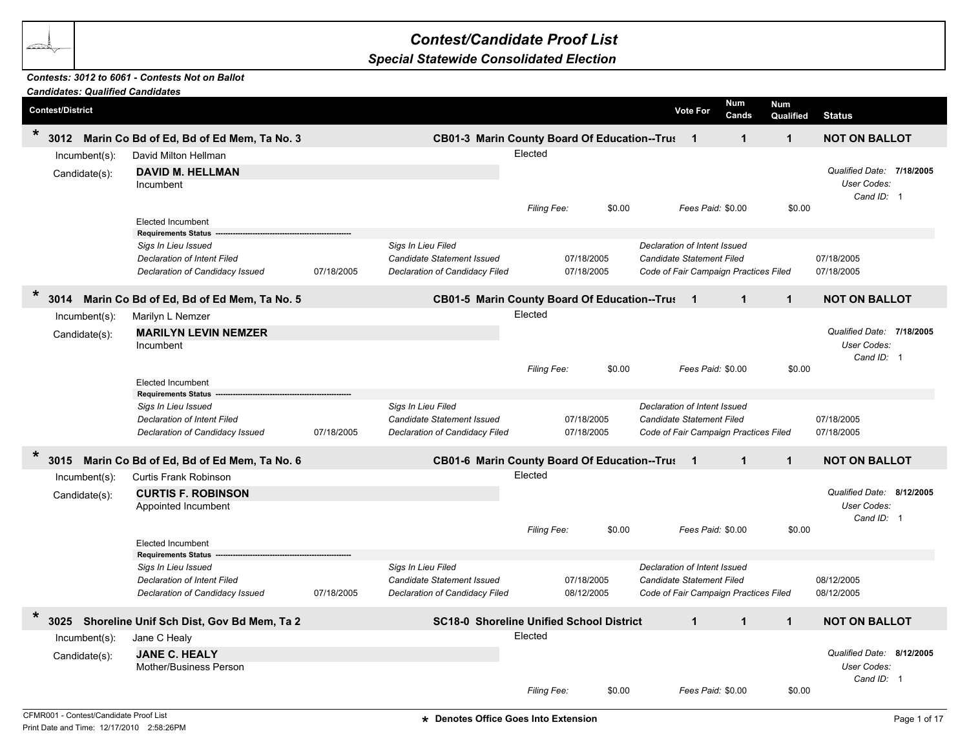## *Contest/Candidate Proof List*

## *Special Statewide Consolidated Election*

## *Contests: 3012 to 6061 - Contests Not on Ballot*

| <b>Candidates: Qualified Candidates</b> |                                                                                                                     |            |                                                                                           |                        |                          |        |                                                                                                           |                            |              |                                                        |
|-----------------------------------------|---------------------------------------------------------------------------------------------------------------------|------------|-------------------------------------------------------------------------------------------|------------------------|--------------------------|--------|-----------------------------------------------------------------------------------------------------------|----------------------------|--------------|--------------------------------------------------------|
| <b>Contest/District</b>                 |                                                                                                                     |            |                                                                                           |                        |                          |        | <b>Vote For</b>                                                                                           | Num<br><b>Num</b><br>Cands | Qualified    | <b>Status</b>                                          |
| $\ast$<br>3012                          | Marin Co Bd of Ed, Bd of Ed Mem, Ta No. 3                                                                           |            | CB01-3 Marin County Board Of Education--Trus                                              |                        |                          |        | $\overline{\mathbf{1}}$                                                                                   | $\mathbf 1$                | $\mathbf{1}$ | <b>NOT ON BALLOT</b>                                   |
| Incumbent(s):<br>Candidate(s):          | David Milton Hellman<br><b>DAVID M. HELLMAN</b><br>Incumbent                                                        |            |                                                                                           | Elected                |                          |        |                                                                                                           |                            |              | Qualified Date: 7/18/2005<br>User Codes:<br>Cand ID: 1 |
|                                         | <b>Elected Incumbent</b><br><b>Requirements Status</b>                                                              |            |                                                                                           | Filing Fee:            |                          | \$0.00 | Fees Paid: \$0.00                                                                                         |                            | \$0.00       |                                                        |
|                                         | Sigs In Lieu Issued<br>Declaration of Intent Filed<br>Declaration of Candidacy Issued                               | 07/18/2005 | Sigs In Lieu Filed<br>Candidate Statement Issued<br>Declaration of Candidacy Filed        |                        | 07/18/2005<br>07/18/2005 |        | Declaration of Intent Issued<br><b>Candidate Statement Filed</b><br>Code of Fair Campaign Practices Filed |                            |              | 07/18/2005<br>07/18/2005                               |
| $\star$<br>3014                         | Marin Co Bd of Ed, Bd of Ed Mem, Ta No. 5                                                                           |            | CB01-5 Marin County Board Of Education--Trus                                              |                        |                          |        | -1                                                                                                        | $\mathbf{1}$               | $\mathbf{1}$ | <b>NOT ON BALLOT</b>                                   |
| $Incumbent(s)$ :<br>Candidate(s):       | Marilyn L Nemzer<br><b>MARILYN LEVIN NEMZER</b><br>Incumbent<br><b>Elected Incumbent</b>                            |            |                                                                                           | Elected<br>Filing Fee: |                          | \$0.00 | Fees Paid: \$0.00                                                                                         |                            | \$0.00       | Qualified Date: 7/18/2005<br>User Codes:<br>Cand ID: 1 |
|                                         | <b>Requirements Status</b><br>Sigs In Lieu Issued<br>Declaration of Intent Filed<br>Declaration of Candidacy Issued | 07/18/2005 | Sigs In Lieu Filed<br><b>Candidate Statement Issued</b><br>Declaration of Candidacy Filed |                        | 07/18/2005<br>07/18/2005 |        | Declaration of Intent Issued<br><b>Candidate Statement Filed</b><br>Code of Fair Campaign Practices Filed |                            |              | 07/18/2005<br>07/18/2005                               |
| $\ast$<br>3015                          | Marin Co Bd of Ed, Bd of Ed Mem, Ta No. 6                                                                           |            | CB01-6 Marin County Board Of Education--Trus 1                                            |                        |                          |        |                                                                                                           | $\mathbf{1}$               | $\mathbf{1}$ | <b>NOT ON BALLOT</b>                                   |
| Incumbent(s):<br>Candidate(s):          | <b>Curtis Frank Robinson</b><br><b>CURTIS F. ROBINSON</b><br>Appointed Incumbent<br><b>Elected Incumbent</b>        |            |                                                                                           | Elected<br>Filing Fee: |                          | \$0.00 | Fees Paid: \$0.00                                                                                         |                            | \$0.00       | Qualified Date: 8/12/2005<br>User Codes:<br>Cand ID: 1 |
|                                         | <b>Requirements Status</b><br>Sigs In Lieu Issued<br>Declaration of Intent Filed<br>Declaration of Candidacy Issued | 07/18/2005 | Sigs In Lieu Filed<br><b>Candidate Statement Issued</b><br>Declaration of Candidacy Filed |                        | 07/18/2005<br>08/12/2005 |        | Declaration of Intent Issued<br>Candidate Statement Filed<br>Code of Fair Campaign Practices Filed        |                            |              | 08/12/2005<br>08/12/2005                               |
| $\star$                                 | 3025 Shoreline Unif Sch Dist, Gov Bd Mem, Ta 2                                                                      |            | <b>SC18-0 Shoreline Unified School District</b>                                           |                        |                          |        | $\mathbf{1}$                                                                                              | $\mathbf{1}$               | $\mathbf{1}$ | <b>NOT ON BALLOT</b>                                   |
| Incumbent(s):<br>Candidate(s):          | Jane C Healy<br><b>JANE C. HEALY</b><br>Mother/Business Person                                                      |            |                                                                                           | Elected<br>Filing Fee: |                          | \$0.00 | Fees Paid: \$0.00                                                                                         |                            | \$0.00       | Qualified Date: 8/12/2005<br>User Codes:<br>Cand ID: 1 |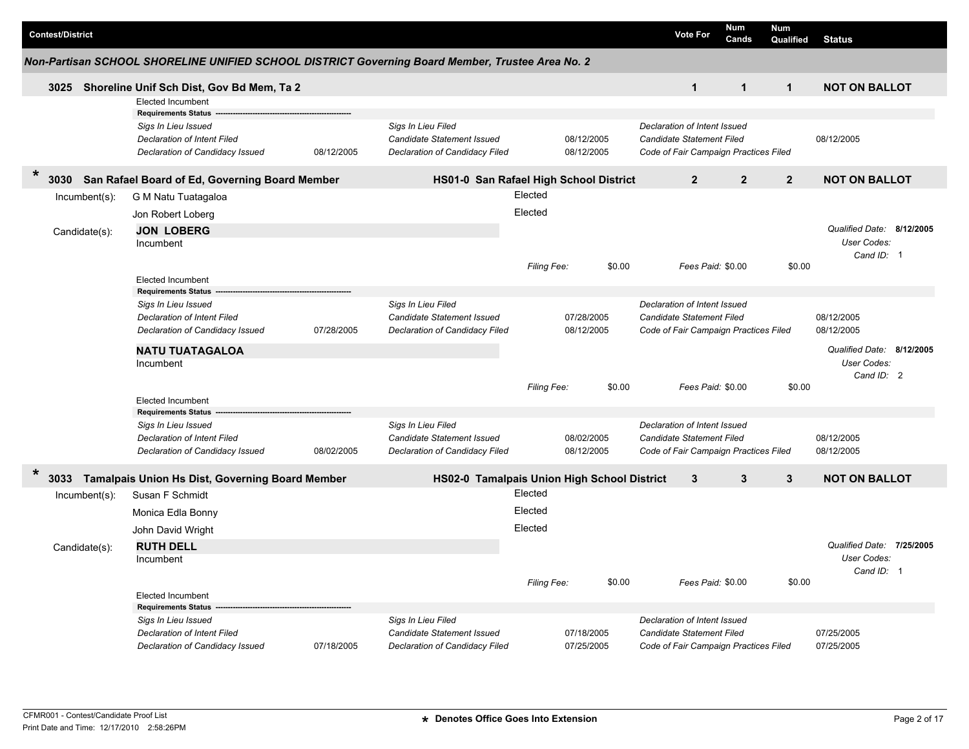| <b>Contest/District</b><br><b>Vote For</b><br>Cands<br><b>Status</b><br>Qualified<br>Non-Partisan SCHOOL SHORELINE UNIFIED SCHOOL DISTRICT Governing Board Member, Trustee Area No. 2<br><b>NOT ON BALLOT</b><br>$\mathbf{1}$<br>$\mathbf{1}$<br>$\mathbf{1}$<br>3025<br>Shoreline Unif Sch Dist, Gov Bd Mem, Ta 2<br><b>Elected Incumbent</b><br><b>Requirements Status</b><br>Sigs In Lieu Filed<br>Sigs In Lieu Issued<br>Declaration of Intent Issued<br>08/12/2005<br>08/12/2005<br>Declaration of Intent Filed<br>Candidate Statement Issued<br>Candidate Statement Filed<br>Declaration of Candidacy Issued<br>08/12/2005<br>Declaration of Candidacy Filed<br>08/12/2005<br>Code of Fair Campaign Practices Filed<br>$\ast$<br>$\overline{2}$<br>$\overline{2}$<br>$\mathbf{2}$<br>3030<br>San Rafael Board of Ed, Governing Board Member<br>HS01-0 San Rafael High School District<br><b>NOT ON BALLOT</b><br>Elected<br>Incumbent(s):<br>G M Natu Tuatagaloa<br>Elected<br>Jon Robert Loberg<br>Qualified Date: 8/12/2005<br><b>JON LOBERG</b><br>Candidate(s):<br>User Codes:<br>Incumbent<br>Cand $ID: 1$<br>\$0.00<br>Filing Fee:<br>\$0.00<br>Fees Paid: \$0.00<br><b>Elected Incumbent</b><br><b>Requirements Status</b><br>Sigs In Lieu Issued<br>Sigs In Lieu Filed<br>Declaration of Intent Issued<br>08/12/2005<br>Declaration of Intent Filed<br>Candidate Statement Issued<br>07/28/2005<br>Candidate Statement Filed<br>Declaration of Candidacy Issued<br>Declaration of Candidacy Filed<br>08/12/2005<br>Code of Fair Campaign Practices Filed<br>08/12/2005<br>07/28/2005<br>Qualified Date: 8/12/2005<br><b>NATU TUATAGALOA</b><br>User Codes:<br>Incumbent<br>Cand ID: 2<br>Filing Fee:<br>\$0.00<br>Fees Paid: \$0.00<br>\$0.00<br><b>Elected Incumbent</b><br><b>Requirements Status</b><br>Sigs In Lieu Filed<br>Declaration of Intent Issued<br>Sigs In Lieu Issued<br>08/12/2005<br>Candidate Statement Issued<br>08/02/2005<br><b>Candidate Statement Filed</b><br><b>Declaration of Intent Filed</b><br>Declaration of Candidacy Issued<br>08/12/2005<br>08/12/2005<br>08/02/2005<br>Declaration of Candidacy Filed<br>Code of Fair Campaign Practices Filed<br>$\ast$<br>Tamalpais Union Hs Dist, Governing Board Member<br>HS02-0 Tamalpais Union High School District<br>$\mathbf{3}$<br>$\mathbf{3}$<br>$\mathbf{3}$<br><b>NOT ON BALLOT</b><br>3033<br>Elected<br>Susan F Schmidt<br>$Incumbent(s)$ :<br>Elected<br>Monica Edla Bonny<br>Elected<br>John David Wright<br>Qualified Date: 7/25/2005<br><b>RUTH DELL</b><br>Candidate(s):<br>User Codes:<br>Incumbent<br>Cand ID: 1<br>Fees Paid: \$0.00<br>Filing Fee:<br>\$0.00<br>\$0.00<br><b>Elected Incumbent</b><br><b>Requirements Status</b><br>Sigs In Lieu Filed<br>Declaration of Intent Issued<br>Sigs In Lieu Issued<br>Candidate Statement Issued<br>07/18/2005<br>Candidate Statement Filed<br>07/25/2005<br>Declaration of Intent Filed<br>07/25/2005<br>07/25/2005<br>Declaration of Candidacy Filed<br>Code of Fair Campaign Practices Filed |  |                                 |            |  |  | <b>Num</b> |     |  |
|------------------------------------------------------------------------------------------------------------------------------------------------------------------------------------------------------------------------------------------------------------------------------------------------------------------------------------------------------------------------------------------------------------------------------------------------------------------------------------------------------------------------------------------------------------------------------------------------------------------------------------------------------------------------------------------------------------------------------------------------------------------------------------------------------------------------------------------------------------------------------------------------------------------------------------------------------------------------------------------------------------------------------------------------------------------------------------------------------------------------------------------------------------------------------------------------------------------------------------------------------------------------------------------------------------------------------------------------------------------------------------------------------------------------------------------------------------------------------------------------------------------------------------------------------------------------------------------------------------------------------------------------------------------------------------------------------------------------------------------------------------------------------------------------------------------------------------------------------------------------------------------------------------------------------------------------------------------------------------------------------------------------------------------------------------------------------------------------------------------------------------------------------------------------------------------------------------------------------------------------------------------------------------------------------------------------------------------------------------------------------------------------------------------------------------------------------------------------------------------------------------------------------------------------------------------------------------------------------------------------------------------------------------------------------------------------------------------------------------------------------------------------------------------------------------------------------------------------------------------------------------------------------------------------------------------------------------------------------------------------------------------------------------------------------|--|---------------------------------|------------|--|--|------------|-----|--|
|                                                                                                                                                                                                                                                                                                                                                                                                                                                                                                                                                                                                                                                                                                                                                                                                                                                                                                                                                                                                                                                                                                                                                                                                                                                                                                                                                                                                                                                                                                                                                                                                                                                                                                                                                                                                                                                                                                                                                                                                                                                                                                                                                                                                                                                                                                                                                                                                                                                                                                                                                                                                                                                                                                                                                                                                                                                                                                                                                                                                                                                      |  |                                 |            |  |  |            | Num |  |
|                                                                                                                                                                                                                                                                                                                                                                                                                                                                                                                                                                                                                                                                                                                                                                                                                                                                                                                                                                                                                                                                                                                                                                                                                                                                                                                                                                                                                                                                                                                                                                                                                                                                                                                                                                                                                                                                                                                                                                                                                                                                                                                                                                                                                                                                                                                                                                                                                                                                                                                                                                                                                                                                                                                                                                                                                                                                                                                                                                                                                                                      |  |                                 |            |  |  |            |     |  |
|                                                                                                                                                                                                                                                                                                                                                                                                                                                                                                                                                                                                                                                                                                                                                                                                                                                                                                                                                                                                                                                                                                                                                                                                                                                                                                                                                                                                                                                                                                                                                                                                                                                                                                                                                                                                                                                                                                                                                                                                                                                                                                                                                                                                                                                                                                                                                                                                                                                                                                                                                                                                                                                                                                                                                                                                                                                                                                                                                                                                                                                      |  |                                 |            |  |  |            |     |  |
|                                                                                                                                                                                                                                                                                                                                                                                                                                                                                                                                                                                                                                                                                                                                                                                                                                                                                                                                                                                                                                                                                                                                                                                                                                                                                                                                                                                                                                                                                                                                                                                                                                                                                                                                                                                                                                                                                                                                                                                                                                                                                                                                                                                                                                                                                                                                                                                                                                                                                                                                                                                                                                                                                                                                                                                                                                                                                                                                                                                                                                                      |  |                                 |            |  |  |            |     |  |
|                                                                                                                                                                                                                                                                                                                                                                                                                                                                                                                                                                                                                                                                                                                                                                                                                                                                                                                                                                                                                                                                                                                                                                                                                                                                                                                                                                                                                                                                                                                                                                                                                                                                                                                                                                                                                                                                                                                                                                                                                                                                                                                                                                                                                                                                                                                                                                                                                                                                                                                                                                                                                                                                                                                                                                                                                                                                                                                                                                                                                                                      |  |                                 |            |  |  |            |     |  |
|                                                                                                                                                                                                                                                                                                                                                                                                                                                                                                                                                                                                                                                                                                                                                                                                                                                                                                                                                                                                                                                                                                                                                                                                                                                                                                                                                                                                                                                                                                                                                                                                                                                                                                                                                                                                                                                                                                                                                                                                                                                                                                                                                                                                                                                                                                                                                                                                                                                                                                                                                                                                                                                                                                                                                                                                                                                                                                                                                                                                                                                      |  |                                 |            |  |  |            |     |  |
|                                                                                                                                                                                                                                                                                                                                                                                                                                                                                                                                                                                                                                                                                                                                                                                                                                                                                                                                                                                                                                                                                                                                                                                                                                                                                                                                                                                                                                                                                                                                                                                                                                                                                                                                                                                                                                                                                                                                                                                                                                                                                                                                                                                                                                                                                                                                                                                                                                                                                                                                                                                                                                                                                                                                                                                                                                                                                                                                                                                                                                                      |  |                                 |            |  |  |            |     |  |
|                                                                                                                                                                                                                                                                                                                                                                                                                                                                                                                                                                                                                                                                                                                                                                                                                                                                                                                                                                                                                                                                                                                                                                                                                                                                                                                                                                                                                                                                                                                                                                                                                                                                                                                                                                                                                                                                                                                                                                                                                                                                                                                                                                                                                                                                                                                                                                                                                                                                                                                                                                                                                                                                                                                                                                                                                                                                                                                                                                                                                                                      |  |                                 |            |  |  |            |     |  |
|                                                                                                                                                                                                                                                                                                                                                                                                                                                                                                                                                                                                                                                                                                                                                                                                                                                                                                                                                                                                                                                                                                                                                                                                                                                                                                                                                                                                                                                                                                                                                                                                                                                                                                                                                                                                                                                                                                                                                                                                                                                                                                                                                                                                                                                                                                                                                                                                                                                                                                                                                                                                                                                                                                                                                                                                                                                                                                                                                                                                                                                      |  |                                 |            |  |  |            |     |  |
|                                                                                                                                                                                                                                                                                                                                                                                                                                                                                                                                                                                                                                                                                                                                                                                                                                                                                                                                                                                                                                                                                                                                                                                                                                                                                                                                                                                                                                                                                                                                                                                                                                                                                                                                                                                                                                                                                                                                                                                                                                                                                                                                                                                                                                                                                                                                                                                                                                                                                                                                                                                                                                                                                                                                                                                                                                                                                                                                                                                                                                                      |  |                                 |            |  |  |            |     |  |
|                                                                                                                                                                                                                                                                                                                                                                                                                                                                                                                                                                                                                                                                                                                                                                                                                                                                                                                                                                                                                                                                                                                                                                                                                                                                                                                                                                                                                                                                                                                                                                                                                                                                                                                                                                                                                                                                                                                                                                                                                                                                                                                                                                                                                                                                                                                                                                                                                                                                                                                                                                                                                                                                                                                                                                                                                                                                                                                                                                                                                                                      |  |                                 |            |  |  |            |     |  |
|                                                                                                                                                                                                                                                                                                                                                                                                                                                                                                                                                                                                                                                                                                                                                                                                                                                                                                                                                                                                                                                                                                                                                                                                                                                                                                                                                                                                                                                                                                                                                                                                                                                                                                                                                                                                                                                                                                                                                                                                                                                                                                                                                                                                                                                                                                                                                                                                                                                                                                                                                                                                                                                                                                                                                                                                                                                                                                                                                                                                                                                      |  |                                 |            |  |  |            |     |  |
|                                                                                                                                                                                                                                                                                                                                                                                                                                                                                                                                                                                                                                                                                                                                                                                                                                                                                                                                                                                                                                                                                                                                                                                                                                                                                                                                                                                                                                                                                                                                                                                                                                                                                                                                                                                                                                                                                                                                                                                                                                                                                                                                                                                                                                                                                                                                                                                                                                                                                                                                                                                                                                                                                                                                                                                                                                                                                                                                                                                                                                                      |  |                                 |            |  |  |            |     |  |
|                                                                                                                                                                                                                                                                                                                                                                                                                                                                                                                                                                                                                                                                                                                                                                                                                                                                                                                                                                                                                                                                                                                                                                                                                                                                                                                                                                                                                                                                                                                                                                                                                                                                                                                                                                                                                                                                                                                                                                                                                                                                                                                                                                                                                                                                                                                                                                                                                                                                                                                                                                                                                                                                                                                                                                                                                                                                                                                                                                                                                                                      |  |                                 |            |  |  |            |     |  |
|                                                                                                                                                                                                                                                                                                                                                                                                                                                                                                                                                                                                                                                                                                                                                                                                                                                                                                                                                                                                                                                                                                                                                                                                                                                                                                                                                                                                                                                                                                                                                                                                                                                                                                                                                                                                                                                                                                                                                                                                                                                                                                                                                                                                                                                                                                                                                                                                                                                                                                                                                                                                                                                                                                                                                                                                                                                                                                                                                                                                                                                      |  |                                 |            |  |  |            |     |  |
|                                                                                                                                                                                                                                                                                                                                                                                                                                                                                                                                                                                                                                                                                                                                                                                                                                                                                                                                                                                                                                                                                                                                                                                                                                                                                                                                                                                                                                                                                                                                                                                                                                                                                                                                                                                                                                                                                                                                                                                                                                                                                                                                                                                                                                                                                                                                                                                                                                                                                                                                                                                                                                                                                                                                                                                                                                                                                                                                                                                                                                                      |  |                                 |            |  |  |            |     |  |
|                                                                                                                                                                                                                                                                                                                                                                                                                                                                                                                                                                                                                                                                                                                                                                                                                                                                                                                                                                                                                                                                                                                                                                                                                                                                                                                                                                                                                                                                                                                                                                                                                                                                                                                                                                                                                                                                                                                                                                                                                                                                                                                                                                                                                                                                                                                                                                                                                                                                                                                                                                                                                                                                                                                                                                                                                                                                                                                                                                                                                                                      |  |                                 |            |  |  |            |     |  |
|                                                                                                                                                                                                                                                                                                                                                                                                                                                                                                                                                                                                                                                                                                                                                                                                                                                                                                                                                                                                                                                                                                                                                                                                                                                                                                                                                                                                                                                                                                                                                                                                                                                                                                                                                                                                                                                                                                                                                                                                                                                                                                                                                                                                                                                                                                                                                                                                                                                                                                                                                                                                                                                                                                                                                                                                                                                                                                                                                                                                                                                      |  |                                 |            |  |  |            |     |  |
|                                                                                                                                                                                                                                                                                                                                                                                                                                                                                                                                                                                                                                                                                                                                                                                                                                                                                                                                                                                                                                                                                                                                                                                                                                                                                                                                                                                                                                                                                                                                                                                                                                                                                                                                                                                                                                                                                                                                                                                                                                                                                                                                                                                                                                                                                                                                                                                                                                                                                                                                                                                                                                                                                                                                                                                                                                                                                                                                                                                                                                                      |  |                                 |            |  |  |            |     |  |
|                                                                                                                                                                                                                                                                                                                                                                                                                                                                                                                                                                                                                                                                                                                                                                                                                                                                                                                                                                                                                                                                                                                                                                                                                                                                                                                                                                                                                                                                                                                                                                                                                                                                                                                                                                                                                                                                                                                                                                                                                                                                                                                                                                                                                                                                                                                                                                                                                                                                                                                                                                                                                                                                                                                                                                                                                                                                                                                                                                                                                                                      |  |                                 |            |  |  |            |     |  |
|                                                                                                                                                                                                                                                                                                                                                                                                                                                                                                                                                                                                                                                                                                                                                                                                                                                                                                                                                                                                                                                                                                                                                                                                                                                                                                                                                                                                                                                                                                                                                                                                                                                                                                                                                                                                                                                                                                                                                                                                                                                                                                                                                                                                                                                                                                                                                                                                                                                                                                                                                                                                                                                                                                                                                                                                                                                                                                                                                                                                                                                      |  |                                 |            |  |  |            |     |  |
|                                                                                                                                                                                                                                                                                                                                                                                                                                                                                                                                                                                                                                                                                                                                                                                                                                                                                                                                                                                                                                                                                                                                                                                                                                                                                                                                                                                                                                                                                                                                                                                                                                                                                                                                                                                                                                                                                                                                                                                                                                                                                                                                                                                                                                                                                                                                                                                                                                                                                                                                                                                                                                                                                                                                                                                                                                                                                                                                                                                                                                                      |  |                                 |            |  |  |            |     |  |
|                                                                                                                                                                                                                                                                                                                                                                                                                                                                                                                                                                                                                                                                                                                                                                                                                                                                                                                                                                                                                                                                                                                                                                                                                                                                                                                                                                                                                                                                                                                                                                                                                                                                                                                                                                                                                                                                                                                                                                                                                                                                                                                                                                                                                                                                                                                                                                                                                                                                                                                                                                                                                                                                                                                                                                                                                                                                                                                                                                                                                                                      |  |                                 |            |  |  |            |     |  |
|                                                                                                                                                                                                                                                                                                                                                                                                                                                                                                                                                                                                                                                                                                                                                                                                                                                                                                                                                                                                                                                                                                                                                                                                                                                                                                                                                                                                                                                                                                                                                                                                                                                                                                                                                                                                                                                                                                                                                                                                                                                                                                                                                                                                                                                                                                                                                                                                                                                                                                                                                                                                                                                                                                                                                                                                                                                                                                                                                                                                                                                      |  |                                 |            |  |  |            |     |  |
|                                                                                                                                                                                                                                                                                                                                                                                                                                                                                                                                                                                                                                                                                                                                                                                                                                                                                                                                                                                                                                                                                                                                                                                                                                                                                                                                                                                                                                                                                                                                                                                                                                                                                                                                                                                                                                                                                                                                                                                                                                                                                                                                                                                                                                                                                                                                                                                                                                                                                                                                                                                                                                                                                                                                                                                                                                                                                                                                                                                                                                                      |  |                                 |            |  |  |            |     |  |
|                                                                                                                                                                                                                                                                                                                                                                                                                                                                                                                                                                                                                                                                                                                                                                                                                                                                                                                                                                                                                                                                                                                                                                                                                                                                                                                                                                                                                                                                                                                                                                                                                                                                                                                                                                                                                                                                                                                                                                                                                                                                                                                                                                                                                                                                                                                                                                                                                                                                                                                                                                                                                                                                                                                                                                                                                                                                                                                                                                                                                                                      |  |                                 |            |  |  |            |     |  |
|                                                                                                                                                                                                                                                                                                                                                                                                                                                                                                                                                                                                                                                                                                                                                                                                                                                                                                                                                                                                                                                                                                                                                                                                                                                                                                                                                                                                                                                                                                                                                                                                                                                                                                                                                                                                                                                                                                                                                                                                                                                                                                                                                                                                                                                                                                                                                                                                                                                                                                                                                                                                                                                                                                                                                                                                                                                                                                                                                                                                                                                      |  |                                 |            |  |  |            |     |  |
|                                                                                                                                                                                                                                                                                                                                                                                                                                                                                                                                                                                                                                                                                                                                                                                                                                                                                                                                                                                                                                                                                                                                                                                                                                                                                                                                                                                                                                                                                                                                                                                                                                                                                                                                                                                                                                                                                                                                                                                                                                                                                                                                                                                                                                                                                                                                                                                                                                                                                                                                                                                                                                                                                                                                                                                                                                                                                                                                                                                                                                                      |  |                                 |            |  |  |            |     |  |
|                                                                                                                                                                                                                                                                                                                                                                                                                                                                                                                                                                                                                                                                                                                                                                                                                                                                                                                                                                                                                                                                                                                                                                                                                                                                                                                                                                                                                                                                                                                                                                                                                                                                                                                                                                                                                                                                                                                                                                                                                                                                                                                                                                                                                                                                                                                                                                                                                                                                                                                                                                                                                                                                                                                                                                                                                                                                                                                                                                                                                                                      |  |                                 |            |  |  |            |     |  |
|                                                                                                                                                                                                                                                                                                                                                                                                                                                                                                                                                                                                                                                                                                                                                                                                                                                                                                                                                                                                                                                                                                                                                                                                                                                                                                                                                                                                                                                                                                                                                                                                                                                                                                                                                                                                                                                                                                                                                                                                                                                                                                                                                                                                                                                                                                                                                                                                                                                                                                                                                                                                                                                                                                                                                                                                                                                                                                                                                                                                                                                      |  |                                 |            |  |  |            |     |  |
|                                                                                                                                                                                                                                                                                                                                                                                                                                                                                                                                                                                                                                                                                                                                                                                                                                                                                                                                                                                                                                                                                                                                                                                                                                                                                                                                                                                                                                                                                                                                                                                                                                                                                                                                                                                                                                                                                                                                                                                                                                                                                                                                                                                                                                                                                                                                                                                                                                                                                                                                                                                                                                                                                                                                                                                                                                                                                                                                                                                                                                                      |  |                                 |            |  |  |            |     |  |
|                                                                                                                                                                                                                                                                                                                                                                                                                                                                                                                                                                                                                                                                                                                                                                                                                                                                                                                                                                                                                                                                                                                                                                                                                                                                                                                                                                                                                                                                                                                                                                                                                                                                                                                                                                                                                                                                                                                                                                                                                                                                                                                                                                                                                                                                                                                                                                                                                                                                                                                                                                                                                                                                                                                                                                                                                                                                                                                                                                                                                                                      |  |                                 |            |  |  |            |     |  |
|                                                                                                                                                                                                                                                                                                                                                                                                                                                                                                                                                                                                                                                                                                                                                                                                                                                                                                                                                                                                                                                                                                                                                                                                                                                                                                                                                                                                                                                                                                                                                                                                                                                                                                                                                                                                                                                                                                                                                                                                                                                                                                                                                                                                                                                                                                                                                                                                                                                                                                                                                                                                                                                                                                                                                                                                                                                                                                                                                                                                                                                      |  |                                 |            |  |  |            |     |  |
|                                                                                                                                                                                                                                                                                                                                                                                                                                                                                                                                                                                                                                                                                                                                                                                                                                                                                                                                                                                                                                                                                                                                                                                                                                                                                                                                                                                                                                                                                                                                                                                                                                                                                                                                                                                                                                                                                                                                                                                                                                                                                                                                                                                                                                                                                                                                                                                                                                                                                                                                                                                                                                                                                                                                                                                                                                                                                                                                                                                                                                                      |  |                                 |            |  |  |            |     |  |
|                                                                                                                                                                                                                                                                                                                                                                                                                                                                                                                                                                                                                                                                                                                                                                                                                                                                                                                                                                                                                                                                                                                                                                                                                                                                                                                                                                                                                                                                                                                                                                                                                                                                                                                                                                                                                                                                                                                                                                                                                                                                                                                                                                                                                                                                                                                                                                                                                                                                                                                                                                                                                                                                                                                                                                                                                                                                                                                                                                                                                                                      |  |                                 |            |  |  |            |     |  |
|                                                                                                                                                                                                                                                                                                                                                                                                                                                                                                                                                                                                                                                                                                                                                                                                                                                                                                                                                                                                                                                                                                                                                                                                                                                                                                                                                                                                                                                                                                                                                                                                                                                                                                                                                                                                                                                                                                                                                                                                                                                                                                                                                                                                                                                                                                                                                                                                                                                                                                                                                                                                                                                                                                                                                                                                                                                                                                                                                                                                                                                      |  |                                 |            |  |  |            |     |  |
|                                                                                                                                                                                                                                                                                                                                                                                                                                                                                                                                                                                                                                                                                                                                                                                                                                                                                                                                                                                                                                                                                                                                                                                                                                                                                                                                                                                                                                                                                                                                                                                                                                                                                                                                                                                                                                                                                                                                                                                                                                                                                                                                                                                                                                                                                                                                                                                                                                                                                                                                                                                                                                                                                                                                                                                                                                                                                                                                                                                                                                                      |  |                                 |            |  |  |            |     |  |
|                                                                                                                                                                                                                                                                                                                                                                                                                                                                                                                                                                                                                                                                                                                                                                                                                                                                                                                                                                                                                                                                                                                                                                                                                                                                                                                                                                                                                                                                                                                                                                                                                                                                                                                                                                                                                                                                                                                                                                                                                                                                                                                                                                                                                                                                                                                                                                                                                                                                                                                                                                                                                                                                                                                                                                                                                                                                                                                                                                                                                                                      |  |                                 |            |  |  |            |     |  |
|                                                                                                                                                                                                                                                                                                                                                                                                                                                                                                                                                                                                                                                                                                                                                                                                                                                                                                                                                                                                                                                                                                                                                                                                                                                                                                                                                                                                                                                                                                                                                                                                                                                                                                                                                                                                                                                                                                                                                                                                                                                                                                                                                                                                                                                                                                                                                                                                                                                                                                                                                                                                                                                                                                                                                                                                                                                                                                                                                                                                                                                      |  |                                 |            |  |  |            |     |  |
|                                                                                                                                                                                                                                                                                                                                                                                                                                                                                                                                                                                                                                                                                                                                                                                                                                                                                                                                                                                                                                                                                                                                                                                                                                                                                                                                                                                                                                                                                                                                                                                                                                                                                                                                                                                                                                                                                                                                                                                                                                                                                                                                                                                                                                                                                                                                                                                                                                                                                                                                                                                                                                                                                                                                                                                                                                                                                                                                                                                                                                                      |  | Declaration of Candidacy Issued | 07/18/2005 |  |  |            |     |  |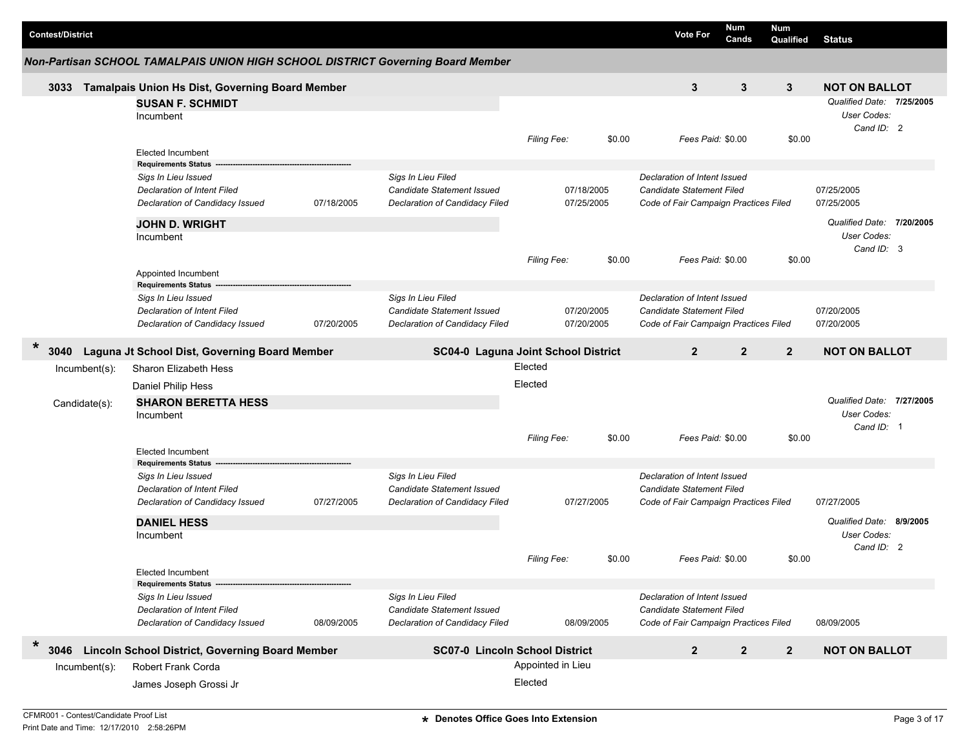|        | <b>Contest/District</b> |               |                                                                                 |            |                                                         |                    |            | <b>Vote For</b>                                                  | Num<br>Cands   | <b>Num</b><br>Qualified | <b>Status</b>                            |  |
|--------|-------------------------|---------------|---------------------------------------------------------------------------------|------------|---------------------------------------------------------|--------------------|------------|------------------------------------------------------------------|----------------|-------------------------|------------------------------------------|--|
|        |                         |               | Non-Partisan SCHOOL TAMALPAIS UNION HIGH SCHOOL DISTRICT Governing Board Member |            |                                                         |                    |            |                                                                  |                |                         |                                          |  |
|        | 3033                    |               | Tamalpais Union Hs Dist, Governing Board Member                                 |            |                                                         |                    |            | 3                                                                | 3              | 3                       | <b>NOT ON BALLOT</b>                     |  |
|        |                         |               | <b>SUSAN F. SCHMIDT</b><br>Incumbent                                            |            |                                                         |                    |            |                                                                  |                |                         | Qualified Date: 7/25/2005<br>User Codes: |  |
|        |                         |               | <b>Elected Incumbent</b>                                                        |            |                                                         | Filing Fee:        | \$0.00     | Fees Paid: \$0.00                                                |                | \$0.00                  | Cand ID: 2                               |  |
|        |                         |               | <b>Requirements Status</b>                                                      |            |                                                         |                    |            |                                                                  |                |                         |                                          |  |
|        |                         |               | Sigs In Lieu Issued<br><b>Declaration of Intent Filed</b>                       |            | Sigs In Lieu Filed<br><b>Candidate Statement Issued</b> |                    | 07/18/2005 | Declaration of Intent Issued<br><b>Candidate Statement Filed</b> |                |                         | 07/25/2005                               |  |
|        |                         |               | Declaration of Candidacy Issued                                                 | 07/18/2005 | Declaration of Candidacy Filed                          |                    | 07/25/2005 | Code of Fair Campaign Practices Filed                            |                |                         | 07/25/2005                               |  |
|        |                         |               | <b>JOHN D. WRIGHT</b>                                                           |            |                                                         |                    |            |                                                                  |                |                         | Qualified Date: 7/20/2005                |  |
|        |                         |               | Incumbent                                                                       |            |                                                         |                    |            |                                                                  |                |                         | User Codes:<br>Cand ID: 3                |  |
|        |                         |               | Appointed Incumbent                                                             |            |                                                         | <b>Filing Fee:</b> | \$0.00     | Fees Paid: \$0.00                                                |                | \$0.00                  |                                          |  |
|        |                         |               | <b>Requirements Status</b>                                                      |            |                                                         |                    |            |                                                                  |                |                         |                                          |  |
|        |                         |               | Sigs In Lieu Issued<br>Declaration of Intent Filed                              |            | Sigs In Lieu Filed<br>Candidate Statement Issued        |                    | 07/20/2005 | Declaration of Intent Issued<br><b>Candidate Statement Filed</b> |                |                         | 07/20/2005                               |  |
|        |                         |               | Declaration of Candidacy Issued                                                 | 07/20/2005 | Declaration of Candidacy Filed                          |                    | 07/20/2005 | Code of Fair Campaign Practices Filed                            |                |                         | 07/20/2005                               |  |
| $\ast$ | 3040                    |               | Laguna Jt School Dist, Governing Board Member                                   |            | SC04-0 Laguna Joint School District                     |                    |            | $\overline{2}$                                                   | $\overline{2}$ | $\overline{2}$          | <b>NOT ON BALLOT</b>                     |  |
|        |                         | Incumbent(s): | Sharon Elizabeth Hess                                                           |            |                                                         | Elected            |            |                                                                  |                |                         |                                          |  |
|        |                         |               | Daniel Philip Hess                                                              |            |                                                         | Elected            |            |                                                                  |                |                         |                                          |  |
|        | Candidate(s):           |               | <b>SHARON BERETTA HESS</b>                                                      |            |                                                         |                    |            |                                                                  |                |                         | Qualified Date: 7/27/2005                |  |
|        |                         |               | Incumbent                                                                       |            |                                                         |                    |            |                                                                  |                |                         | User Codes:                              |  |
|        |                         |               |                                                                                 |            |                                                         | Filing Fee:        | \$0.00     | Fees Paid: \$0.00                                                |                | \$0.00                  | Cand ID: 1                               |  |
|        |                         |               | <b>Elected Incumbent</b>                                                        |            |                                                         |                    |            |                                                                  |                |                         |                                          |  |
|        |                         |               | <b>Requirements Status</b>                                                      |            |                                                         |                    |            |                                                                  |                |                         |                                          |  |
|        |                         |               | Sigs In Lieu Issued<br>Declaration of Intent Filed                              |            | Sigs In Lieu Filed<br>Candidate Statement Issued        |                    |            | Declaration of Intent Issued<br>Candidate Statement Filed        |                |                         |                                          |  |
|        |                         |               | Declaration of Candidacy Issued                                                 | 07/27/2005 | Declaration of Candidacy Filed                          |                    | 07/27/2005 | Code of Fair Campaign Practices Filed                            |                |                         | 07/27/2005                               |  |
|        |                         |               |                                                                                 |            |                                                         |                    |            |                                                                  |                |                         |                                          |  |
|        |                         |               | <b>DANIEL HESS</b><br>Incumbent                                                 |            |                                                         |                    |            |                                                                  |                |                         | Qualified Date: 8/9/2005<br>User Codes:  |  |
|        |                         |               |                                                                                 |            |                                                         |                    |            |                                                                  |                |                         | Cand ID: 2                               |  |
|        |                         |               |                                                                                 |            |                                                         | <b>Filing Fee:</b> | \$0.00     | Fees Paid: \$0.00                                                |                | \$0.00                  |                                          |  |
|        |                         |               | <b>Elected Incumbent</b><br><b>Requirements Status</b>                          |            |                                                         |                    |            |                                                                  |                |                         |                                          |  |
|        |                         |               | Sigs In Lieu Issued                                                             |            | Sigs In Lieu Filed                                      |                    |            | Declaration of Intent Issued                                     |                |                         |                                          |  |
|        |                         |               | Declaration of Intent Filed                                                     |            | Candidate Statement Issued                              |                    |            | <b>Candidate Statement Filed</b>                                 |                |                         |                                          |  |
|        |                         |               | Declaration of Candidacy Issued                                                 | 08/09/2005 | Declaration of Candidacy Filed                          |                    | 08/09/2005 | Code of Fair Campaign Practices Filed                            |                |                         | 08/09/2005                               |  |
| $\ast$ | 3046                    |               | <b>Lincoln School District, Governing Board Member</b>                          |            | <b>SC07-0 Lincoln School District</b>                   |                    |            | $\overline{2}$                                                   | $\overline{2}$ | $\overline{2}$          | <b>NOT ON BALLOT</b>                     |  |
|        |                         | Incumbent(s): | <b>Robert Frank Corda</b>                                                       |            |                                                         | Appointed in Lieu  |            |                                                                  |                |                         |                                          |  |
|        |                         |               | James Joseph Grossi Jr                                                          |            |                                                         | Elected            |            |                                                                  |                |                         |                                          |  |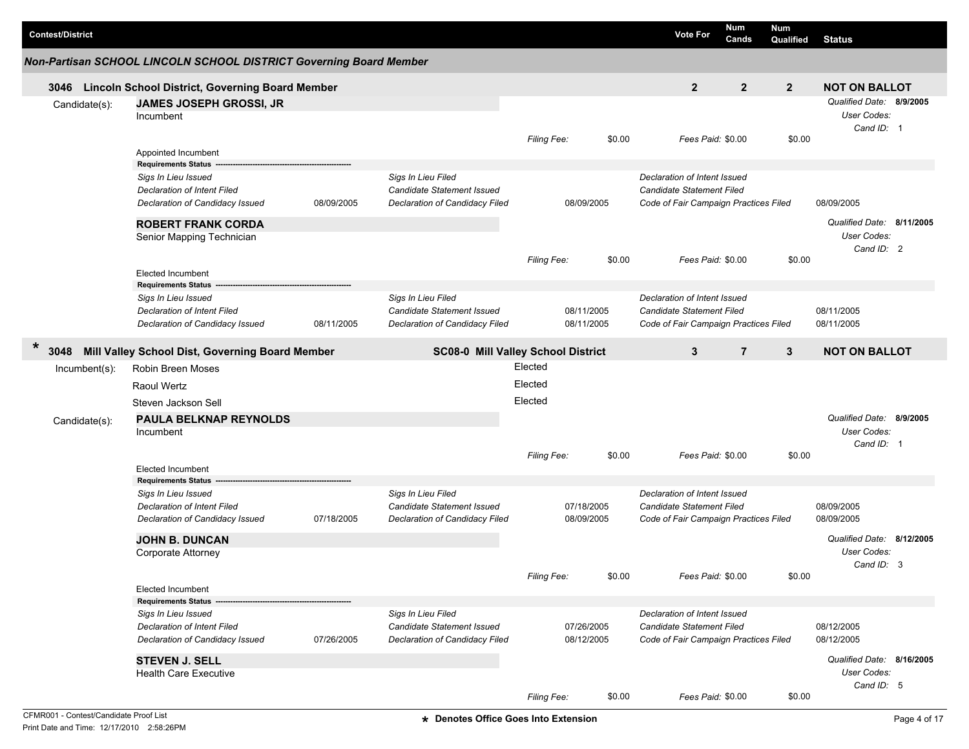| <b>Contest/District</b> |                                                                                                                     |            |                                                                                    |                    |                          |        | <b>Vote For</b>                                                                                           | Num<br>Cands   | <b>Num</b><br>Qualified | <b>Status</b>                                          |  |
|-------------------------|---------------------------------------------------------------------------------------------------------------------|------------|------------------------------------------------------------------------------------|--------------------|--------------------------|--------|-----------------------------------------------------------------------------------------------------------|----------------|-------------------------|--------------------------------------------------------|--|
|                         | Non-Partisan SCHOOL LINCOLN SCHOOL DISTRICT Governing Board Member                                                  |            |                                                                                    |                    |                          |        |                                                                                                           |                |                         |                                                        |  |
|                         | 3046 Lincoln School District, Governing Board Member                                                                |            |                                                                                    |                    |                          |        | $\mathbf{2}$                                                                                              | $\mathbf{2}$   | $\overline{2}$          | <b>NOT ON BALLOT</b>                                   |  |
| Candidate(s):           | JAMES JOSEPH GROSSI, JR<br>Incumbent                                                                                |            |                                                                                    |                    |                          |        |                                                                                                           |                |                         | Qualified Date: 8/9/2005<br>User Codes:<br>Cand ID: 1  |  |
|                         | Appointed Incumbent<br><b>Requirements Status</b>                                                                   |            |                                                                                    | <b>Filing Fee:</b> |                          | \$0.00 | Fees Paid: \$0.00                                                                                         |                | \$0.00                  |                                                        |  |
|                         | Sigs In Lieu Issued<br>Declaration of Intent Filed<br>Declaration of Candidacy Issued                               | 08/09/2005 | Sigs In Lieu Filed<br>Candidate Statement Issued<br>Declaration of Candidacy Filed |                    | 08/09/2005               |        | Declaration of Intent Issued<br><b>Candidate Statement Filed</b><br>Code of Fair Campaign Practices Filed |                |                         | 08/09/2005                                             |  |
|                         | <b>ROBERT FRANK CORDA</b><br>Senior Mapping Technician                                                              |            |                                                                                    |                    |                          |        |                                                                                                           |                |                         | Qualified Date: 8/11/2005<br>User Codes:<br>Cand ID: 2 |  |
|                         | <b>Elected Incumbent</b>                                                                                            |            |                                                                                    | <b>Filing Fee:</b> |                          | \$0.00 | Fees Paid: \$0.00                                                                                         |                | \$0.00                  |                                                        |  |
|                         | <b>Requirements Status</b><br>Sigs In Lieu Issued<br>Declaration of Intent Filed<br>Declaration of Candidacy Issued | 08/11/2005 | Sigs In Lieu Filed<br>Candidate Statement Issued<br>Declaration of Candidacy Filed |                    | 08/11/2005<br>08/11/2005 |        | Declaration of Intent Issued<br><b>Candidate Statement Filed</b><br>Code of Fair Campaign Practices Filed |                |                         | 08/11/2005<br>08/11/2005                               |  |
| $\ast$<br>3048          | Mill Valley School Dist, Governing Board Member                                                                     |            | <b>SC08-0 Mill Valley School District</b>                                          |                    |                          |        | 3                                                                                                         | $\overline{7}$ | 3                       | <b>NOT ON BALLOT</b>                                   |  |
| $Incumbent(s)$ :        | Robin Breen Moses<br>Raoul Wertz                                                                                    |            |                                                                                    | Elected<br>Elected |                          |        |                                                                                                           |                |                         |                                                        |  |
|                         | Steven Jackson Sell                                                                                                 |            |                                                                                    | Elected            |                          |        |                                                                                                           |                |                         |                                                        |  |
| Candidate(s):           | <b>PAULA BELKNAP REYNOLDS</b>                                                                                       |            |                                                                                    |                    |                          |        |                                                                                                           |                |                         | Qualified Date: 8/9/2005                               |  |
|                         | Incumbent                                                                                                           |            |                                                                                    | <b>Filing Fee:</b> |                          | \$0.00 | Fees Paid: \$0.00                                                                                         |                | \$0.00                  | User Codes:<br>Cand ID: 1                              |  |
|                         | <b>Elected Incumbent</b><br><b>Requirements Status</b>                                                              |            |                                                                                    |                    |                          |        |                                                                                                           |                |                         |                                                        |  |
|                         | Sigs In Lieu Issued<br>Declaration of Intent Filed<br>Declaration of Candidacy Issued                               | 07/18/2005 | Sigs In Lieu Filed<br>Candidate Statement Issued<br>Declaration of Candidacy Filed |                    | 07/18/2005<br>08/09/2005 |        | Declaration of Intent Issued<br><b>Candidate Statement Filed</b><br>Code of Fair Campaign Practices Filed |                |                         | 08/09/2005<br>08/09/2005                               |  |
|                         | <b>JOHN B. DUNCAN</b><br>Corporate Attorney                                                                         |            |                                                                                    |                    |                          |        |                                                                                                           |                |                         | Qualified Date: 8/12/2005<br>User Codes:               |  |
|                         | <b>Elected Incumbent</b>                                                                                            |            |                                                                                    | Filing Fee:        |                          | \$0.00 | Fees Paid: \$0.00                                                                                         |                | \$0.00                  | Cand ID: 3                                             |  |
|                         | <b>Requirements Status</b>                                                                                          |            |                                                                                    |                    |                          |        |                                                                                                           |                |                         |                                                        |  |
|                         | Sigs In Lieu Issued<br>Declaration of Intent Filed                                                                  |            | Sigs In Lieu Filed<br>Candidate Statement Issued                                   |                    | 07/26/2005               |        | Declaration of Intent Issued<br>Candidate Statement Filed                                                 |                |                         | 08/12/2005                                             |  |
|                         | Declaration of Candidacy Issued                                                                                     | 07/26/2005 | Declaration of Candidacy Filed                                                     |                    | 08/12/2005               |        | Code of Fair Campaign Practices Filed                                                                     |                |                         | 08/12/2005                                             |  |
|                         | <b>STEVEN J. SELL</b><br><b>Health Care Executive</b>                                                               |            |                                                                                    |                    |                          |        |                                                                                                           |                |                         | Qualified Date: 8/16/2005<br>User Codes:               |  |
|                         |                                                                                                                     |            |                                                                                    | Filing Fee:        |                          | \$0.00 | Fees Paid: \$0.00                                                                                         |                | \$0.00                  | Cand ID: 5                                             |  |

г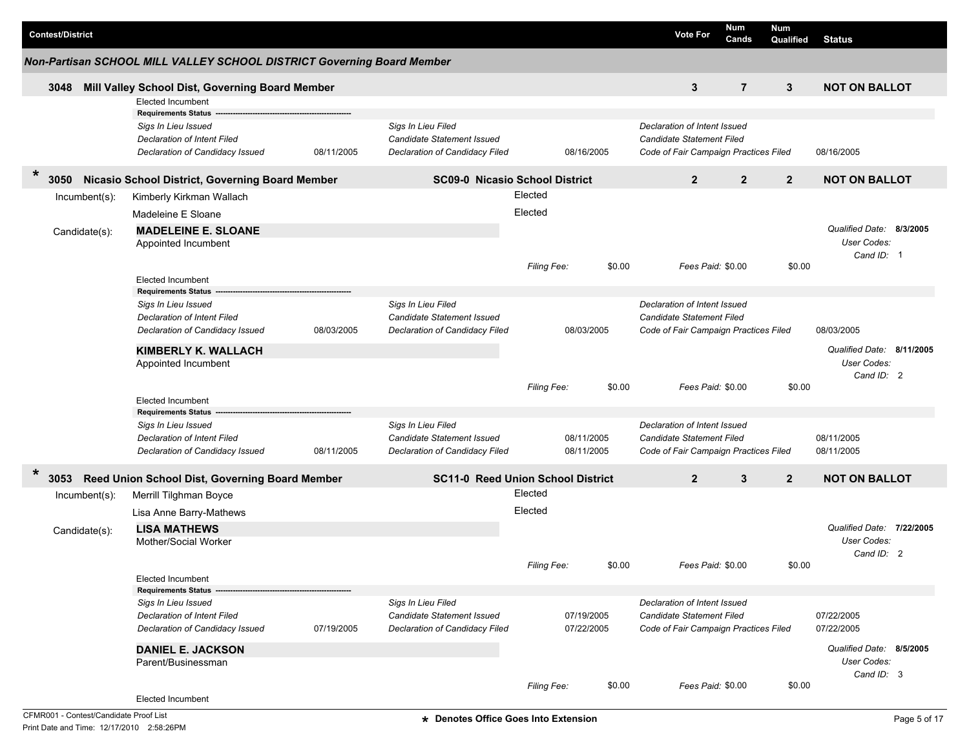|        | <b>Contest/District</b> |                  |                                                                                                                     |            |                                                                                    |                    |            |        | <b>Vote For</b>                                                                                    | <b>Num</b><br>Cands | <b>Num</b><br>Qualified | <b>Status</b>                                                 |  |
|--------|-------------------------|------------------|---------------------------------------------------------------------------------------------------------------------|------------|------------------------------------------------------------------------------------|--------------------|------------|--------|----------------------------------------------------------------------------------------------------|---------------------|-------------------------|---------------------------------------------------------------|--|
|        |                         |                  | Non-Partisan SCHOOL MILL VALLEY SCHOOL DISTRICT Governing Board Member                                              |            |                                                                                    |                    |            |        |                                                                                                    |                     |                         |                                                               |  |
|        | 3048                    |                  | Mill Valley School Dist, Governing Board Member                                                                     |            |                                                                                    |                    |            |        | 3                                                                                                  | $\overline{7}$      | 3                       | <b>NOT ON BALLOT</b>                                          |  |
|        |                         |                  | <b>Elected Incumbent</b>                                                                                            |            |                                                                                    |                    |            |        |                                                                                                    |                     |                         |                                                               |  |
|        |                         |                  | <b>Requirements Status</b><br>Sigs In Lieu Issued<br>Declaration of Intent Filed<br>Declaration of Candidacy Issued | 08/11/2005 | Sigs In Lieu Filed<br>Candidate Statement Issued<br>Declaration of Candidacy Filed |                    | 08/16/2005 |        | Declaration of Intent Issued<br>Candidate Statement Filed<br>Code of Fair Campaign Practices Filed |                     |                         | 08/16/2005                                                    |  |
| $\ast$ | 3050                    |                  | Nicasio School District, Governing Board Member                                                                     |            | <b>SC09-0 Nicasio School District</b>                                              |                    |            |        | $\overline{2}$                                                                                     | $\overline{2}$      | $\overline{2}$          | <b>NOT ON BALLOT</b>                                          |  |
|        |                         | $Incumbent(s)$ : | Kimberly Kirkman Wallach                                                                                            |            |                                                                                    | Elected            |            |        |                                                                                                    |                     |                         |                                                               |  |
|        |                         |                  | Madeleine E Sloane                                                                                                  |            |                                                                                    | Elected            |            |        |                                                                                                    |                     |                         |                                                               |  |
|        |                         | Candidate(s):    | <b>MADELEINE E. SLOANE</b><br>Appointed Incumbent                                                                   |            |                                                                                    |                    |            |        |                                                                                                    |                     |                         | Qualified Date: 8/3/2005<br>User Codes:<br>Cand ID: 1         |  |
|        |                         |                  |                                                                                                                     |            |                                                                                    | <b>Filing Fee:</b> |            | \$0.00 | Fees Paid: \$0.00                                                                                  |                     | \$0.00                  |                                                               |  |
|        |                         |                  | <b>Elected Incumbent</b>                                                                                            |            |                                                                                    |                    |            |        |                                                                                                    |                     |                         |                                                               |  |
|        |                         |                  | <b>Requirements Status</b><br>Sigs In Lieu Issued                                                                   |            | Sigs In Lieu Filed                                                                 |                    |            |        | Declaration of Intent Issued                                                                       |                     |                         |                                                               |  |
|        |                         |                  | Declaration of Intent Filed                                                                                         |            | <b>Candidate Statement Issued</b>                                                  |                    |            |        | Candidate Statement Filed                                                                          |                     |                         |                                                               |  |
|        |                         |                  | Declaration of Candidacy Issued                                                                                     | 08/03/2005 | Declaration of Candidacy Filed                                                     |                    | 08/03/2005 |        | Code of Fair Campaign Practices Filed                                                              |                     |                         | 08/03/2005                                                    |  |
|        |                         |                  | <b>KIMBERLY K. WALLACH</b>                                                                                          |            |                                                                                    |                    |            |        |                                                                                                    |                     |                         | Qualified Date: 8/11/2005                                     |  |
|        |                         |                  | Appointed Incumbent                                                                                                 |            |                                                                                    |                    |            |        |                                                                                                    |                     |                         | <b>User Codes:</b>                                            |  |
|        |                         |                  |                                                                                                                     |            |                                                                                    |                    |            |        |                                                                                                    |                     |                         | Cand ID: 2                                                    |  |
|        |                         |                  |                                                                                                                     |            |                                                                                    | Filing Fee:        |            | \$0.00 | Fees Paid: \$0.00                                                                                  |                     | \$0.00                  |                                                               |  |
|        |                         |                  | <b>Elected Incumbent</b><br><b>Requirements Status</b>                                                              |            |                                                                                    |                    |            |        |                                                                                                    |                     |                         |                                                               |  |
|        |                         |                  | Sigs In Lieu Issued                                                                                                 |            | Sigs In Lieu Filed                                                                 |                    |            |        | Declaration of Intent Issued                                                                       |                     |                         |                                                               |  |
|        |                         |                  | Declaration of Intent Filed                                                                                         |            | Candidate Statement Issued                                                         |                    | 08/11/2005 |        | Candidate Statement Filed                                                                          |                     |                         | 08/11/2005                                                    |  |
|        |                         |                  | Declaration of Candidacy Issued                                                                                     | 08/11/2005 | Declaration of Candidacy Filed                                                     |                    | 08/11/2005 |        | Code of Fair Campaign Practices Filed                                                              |                     |                         | 08/11/2005                                                    |  |
| $\ast$ | 3053                    |                  | Reed Union School Dist, Governing Board Member                                                                      |            | <b>SC11-0 Reed Union School District</b>                                           |                    |            |        | $\overline{2}$                                                                                     | 3                   | $\mathbf{2}$            | <b>NOT ON BALLOT</b>                                          |  |
|        |                         | Incumbent(s):    | Merrill Tilghman Boyce                                                                                              |            |                                                                                    | Elected            |            |        |                                                                                                    |                     |                         |                                                               |  |
|        |                         |                  | Lisa Anne Barry-Mathews                                                                                             |            |                                                                                    | Elected            |            |        |                                                                                                    |                     |                         |                                                               |  |
|        |                         | Candidate(s):    | <b>LISA MATHEWS</b><br>Mother/Social Worker                                                                         |            |                                                                                    |                    |            |        |                                                                                                    |                     |                         | Qualified Date: 7/22/2005<br><b>User Codes:</b><br>Cand ID: 2 |  |
|        |                         |                  |                                                                                                                     |            |                                                                                    | Filing Fee:        |            | \$0.00 | Fees Paid: \$0.00                                                                                  |                     | \$0.00                  |                                                               |  |
|        |                         |                  | Elected Incumbent                                                                                                   |            |                                                                                    |                    |            |        |                                                                                                    |                     |                         |                                                               |  |
|        |                         |                  | <b>Requirements Status</b><br>Sigs In Lieu Issued                                                                   |            | Sigs In Lieu Filed                                                                 |                    |            |        | Declaration of Intent Issued                                                                       |                     |                         |                                                               |  |
|        |                         |                  | Declaration of Intent Filed                                                                                         |            | Candidate Statement Issued                                                         |                    | 07/19/2005 |        | Candidate Statement Filed                                                                          |                     |                         | 07/22/2005                                                    |  |
|        |                         |                  | Declaration of Candidacy Issued                                                                                     | 07/19/2005 | Declaration of Candidacy Filed                                                     |                    | 07/22/2005 |        | Code of Fair Campaign Practices Filed                                                              |                     |                         | 07/22/2005                                                    |  |
|        |                         |                  | <b>DANIEL E. JACKSON</b><br>Parent/Businessman                                                                      |            |                                                                                    |                    |            |        |                                                                                                    |                     |                         | Qualified Date: 8/5/2005<br>User Codes:                       |  |
|        |                         |                  | Elected Incumbent                                                                                                   |            |                                                                                    | Filing Fee:        |            | \$0.00 | Fees Paid: \$0.00                                                                                  |                     | \$0.00                  | Cand ID: 3                                                    |  |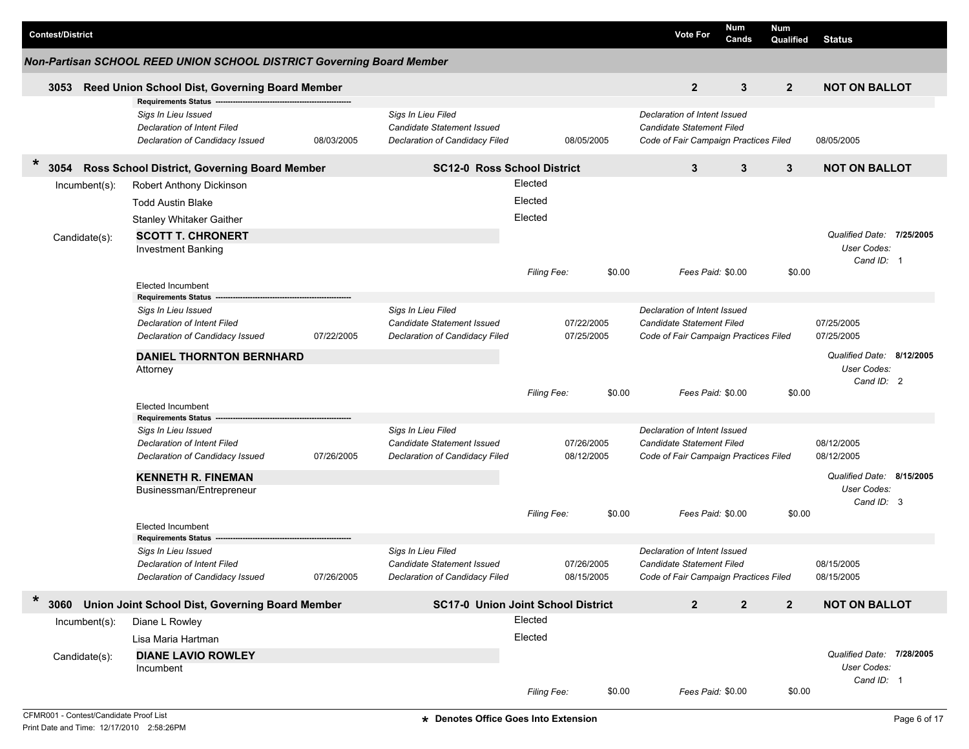| <b>Contest/District</b> |                                             |                                                                                       |            |                                                                                    |                    |            |        | <b>Vote For</b>                                                                                    | Num               | Cands          | Num            |                                                        |  |
|-------------------------|---------------------------------------------|---------------------------------------------------------------------------------------|------------|------------------------------------------------------------------------------------|--------------------|------------|--------|----------------------------------------------------------------------------------------------------|-------------------|----------------|----------------|--------------------------------------------------------|--|
|                         |                                             | Non-Partisan SCHOOL REED UNION SCHOOL DISTRICT Governing Board Member                 |            |                                                                                    |                    |            |        |                                                                                                    |                   |                | Qualified      | <b>Status</b>                                          |  |
|                         |                                             |                                                                                       |            |                                                                                    |                    |            |        |                                                                                                    |                   |                |                |                                                        |  |
| 3053                    |                                             | Reed Union School Dist, Governing Board Member<br><b>Requirements Status</b>          |            |                                                                                    |                    |            |        | $\overline{2}$                                                                                     |                   | 3              | $\overline{2}$ | <b>NOT ON BALLOT</b>                                   |  |
|                         |                                             | Sigs In Lieu Issued<br>Declaration of Intent Filed<br>Declaration of Candidacy Issued | 08/03/2005 | Sigs In Lieu Filed<br>Candidate Statement Issued<br>Declaration of Candidacy Filed |                    | 08/05/2005 |        | Declaration of Intent Issued<br>Candidate Statement Filed<br>Code of Fair Campaign Practices Filed |                   |                |                | 08/05/2005                                             |  |
| $\ast$<br>3054          |                                             | Ross School District, Governing Board Member                                          |            | <b>SC12-0 Ross School District</b>                                                 |                    |            |        | 3                                                                                                  |                   | 3              | $\mathbf{3}$   | <b>NOT ON BALLOT</b>                                   |  |
|                         | $Incumbent(s)$ :                            | Robert Anthony Dickinson                                                              |            |                                                                                    | Elected            |            |        |                                                                                                    |                   |                |                |                                                        |  |
|                         |                                             | <b>Todd Austin Blake</b>                                                              |            |                                                                                    | Elected            |            |        |                                                                                                    |                   |                |                |                                                        |  |
|                         |                                             | Stanley Whitaker Gaither                                                              |            |                                                                                    | Elected            |            |        |                                                                                                    |                   |                |                |                                                        |  |
|                         | Candidate(s):                               | <b>SCOTT T. CHRONERT</b><br><b>Investment Banking</b>                                 |            |                                                                                    |                    |            |        |                                                                                                    |                   |                |                | Qualified Date: 7/25/2005<br>User Codes:<br>Cand ID: 1 |  |
|                         |                                             |                                                                                       |            |                                                                                    | <b>Filing Fee:</b> |            | \$0.00 |                                                                                                    | Fees Paid: \$0.00 |                | \$0.00         |                                                        |  |
|                         |                                             | <b>Elected Incumbent</b>                                                              |            |                                                                                    |                    |            |        |                                                                                                    |                   |                |                |                                                        |  |
|                         |                                             | <b>Requirements Status</b><br>Sigs In Lieu Issued                                     |            | Sigs In Lieu Filed                                                                 |                    |            |        | Declaration of Intent Issued                                                                       |                   |                |                |                                                        |  |
|                         |                                             | Declaration of Intent Filed                                                           |            | Candidate Statement Issued                                                         |                    | 07/22/2005 |        | Candidate Statement Filed                                                                          |                   |                |                | 07/25/2005                                             |  |
|                         |                                             | Declaration of Candidacy Issued                                                       | 07/22/2005 | Declaration of Candidacy Filed                                                     |                    | 07/25/2005 |        | Code of Fair Campaign Practices Filed                                                              |                   |                |                | 07/25/2005                                             |  |
|                         | <b>DANIEL THORNTON BERNHARD</b><br>Attorney |                                                                                       |            |                                                                                    |                    |            |        |                                                                                                    |                   |                |                | Qualified Date: 8/12/2005<br>User Codes:<br>Cand ID: 2 |  |
|                         |                                             |                                                                                       |            |                                                                                    | Filing Fee:        |            | \$0.00 |                                                                                                    | Fees Paid: \$0.00 |                | \$0.00         |                                                        |  |
|                         |                                             | <b>Elected Incumbent</b><br><b>Requirements Status</b>                                |            |                                                                                    |                    |            |        |                                                                                                    |                   |                |                |                                                        |  |
|                         |                                             | Sigs In Lieu Issued                                                                   |            | Sigs In Lieu Filed                                                                 |                    |            |        | Declaration of Intent Issued                                                                       |                   |                |                |                                                        |  |
|                         |                                             | Declaration of Intent Filed                                                           |            | Candidate Statement Issued                                                         |                    | 07/26/2005 |        | Candidate Statement Filed                                                                          |                   |                |                | 08/12/2005                                             |  |
|                         |                                             | Declaration of Candidacy Issued                                                       | 07/26/2005 | Declaration of Candidacy Filed                                                     |                    | 08/12/2005 |        | Code of Fair Campaign Practices Filed                                                              |                   |                |                | 08/12/2005                                             |  |
|                         |                                             | <b>KENNETH R. FINEMAN</b>                                                             |            |                                                                                    |                    |            |        |                                                                                                    |                   |                |                | Qualified Date: 8/15/2005                              |  |
|                         |                                             | Businessman/Entrepreneur                                                              |            |                                                                                    |                    |            |        |                                                                                                    |                   |                |                | User Codes:                                            |  |
|                         |                                             |                                                                                       |            |                                                                                    | Filing Fee:        |            | \$0.00 |                                                                                                    | Fees Paid: \$0.00 |                | \$0.00         | Cand ID: 3                                             |  |
|                         |                                             | <b>Elected Incumbent</b>                                                              |            |                                                                                    |                    |            |        |                                                                                                    |                   |                |                |                                                        |  |
|                         |                                             | <b>Requirements Status</b><br>Sigs In Lieu Issued                                     |            | Sigs In Lieu Filed                                                                 |                    |            |        | Declaration of Intent Issued                                                                       |                   |                |                |                                                        |  |
|                         |                                             | Declaration of Intent Filed                                                           |            | Candidate Statement Issued                                                         |                    | 07/26/2005 |        | Candidate Statement Filed                                                                          |                   |                |                | 08/15/2005                                             |  |
|                         |                                             | Declaration of Candidacy Issued                                                       | 07/26/2005 | Declaration of Candidacy Filed                                                     |                    | 08/15/2005 |        | Code of Fair Campaign Practices Filed                                                              |                   |                |                | 08/15/2005                                             |  |
| $\ast$<br>3060          |                                             | Union Joint School Dist, Governing Board Member                                       |            | <b>SC17-0 Union Joint School District</b>                                          |                    |            |        | $\mathbf{2}$                                                                                       |                   | $\overline{2}$ | $\mathbf{2}$   | <b>NOT ON BALLOT</b>                                   |  |
|                         | $Incumbent(s)$ :                            | Diane L Rowley                                                                        |            |                                                                                    | Elected            |            |        |                                                                                                    |                   |                |                |                                                        |  |
|                         |                                             | Lisa Maria Hartman                                                                    |            |                                                                                    | Elected            |            |        |                                                                                                    |                   |                |                |                                                        |  |
|                         | Candidate(s):                               | <b>DIANE LAVIO ROWLEY</b>                                                             |            |                                                                                    |                    |            |        |                                                                                                    |                   |                |                | Qualified Date: 7/28/2005                              |  |
|                         |                                             | Incumbent                                                                             |            |                                                                                    |                    |            |        |                                                                                                    |                   |                |                | User Codes:                                            |  |
|                         |                                             |                                                                                       |            |                                                                                    |                    |            |        |                                                                                                    |                   |                |                | Cand ID: 1                                             |  |
|                         |                                             |                                                                                       |            |                                                                                    | Filing Fee:        |            | \$0.00 |                                                                                                    | Fees Paid: \$0.00 |                | \$0.00         |                                                        |  |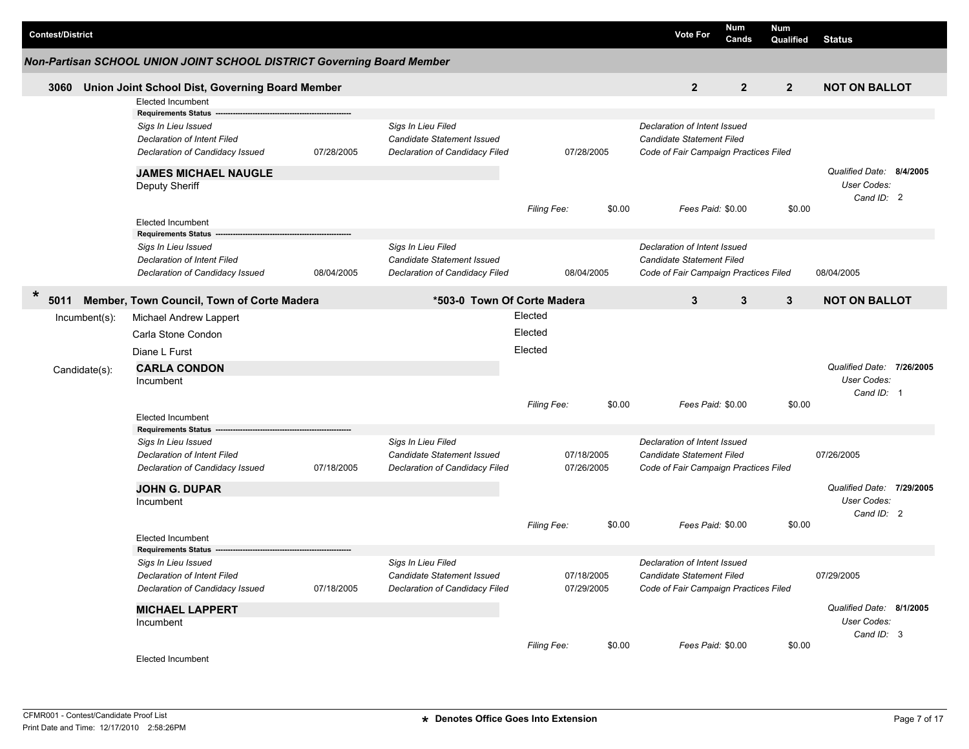| <b>Contest/District</b> |                                                                        |            |                                                              |                    |            |        | <b>Vote For</b>                                           | <b>Num</b><br>Cands | <b>Num</b><br>Qualified | Status                                   |  |
|-------------------------|------------------------------------------------------------------------|------------|--------------------------------------------------------------|--------------------|------------|--------|-----------------------------------------------------------|---------------------|-------------------------|------------------------------------------|--|
|                         | Non-Partisan SCHOOL UNION JOINT SCHOOL DISTRICT Governing Board Member |            |                                                              |                    |            |        |                                                           |                     |                         |                                          |  |
| 3060                    | Union Joint School Dist, Governing Board Member                        |            |                                                              |                    |            |        | $\overline{2}$                                            | $\overline{2}$      | $\overline{2}$          | <b>NOT ON BALLOT</b>                     |  |
|                         | <b>Elected Incumbent</b>                                               |            |                                                              |                    |            |        |                                                           |                     |                         |                                          |  |
|                         | <b>Requirements Status</b>                                             |            |                                                              |                    |            |        |                                                           |                     |                         |                                          |  |
|                         | Sigs In Lieu Issued                                                    |            | Sigs In Lieu Filed                                           |                    |            |        | Declaration of Intent Issued<br>Candidate Statement Filed |                     |                         |                                          |  |
|                         | <b>Declaration of Intent Filed</b><br>Declaration of Candidacy Issued  | 07/28/2005 | Candidate Statement Issued<br>Declaration of Candidacy Filed |                    | 07/28/2005 |        | Code of Fair Campaign Practices Filed                     |                     |                         |                                          |  |
|                         |                                                                        |            |                                                              |                    |            |        |                                                           |                     |                         |                                          |  |
|                         | <b>JAMES MICHAEL NAUGLE</b>                                            |            |                                                              |                    |            |        |                                                           |                     |                         | Qualified Date: 8/4/2005                 |  |
|                         | Deputy Sheriff                                                         |            |                                                              |                    |            |        |                                                           |                     |                         | User Codes:<br>Cand ID: 2                |  |
|                         |                                                                        |            |                                                              | <b>Filing Fee:</b> |            | \$0.00 | Fees Paid: \$0.00                                         |                     | \$0.00                  |                                          |  |
|                         | <b>Elected Incumbent</b>                                               |            |                                                              |                    |            |        |                                                           |                     |                         |                                          |  |
|                         | <b>Requirements Status</b>                                             |            |                                                              |                    |            |        |                                                           |                     |                         |                                          |  |
|                         | Sigs In Lieu Issued                                                    |            | Sigs In Lieu Filed                                           |                    |            |        | Declaration of Intent Issued                              |                     |                         |                                          |  |
|                         | Declaration of Intent Filed                                            |            | Candidate Statement Issued                                   |                    |            |        | Candidate Statement Filed                                 |                     |                         |                                          |  |
|                         | Declaration of Candidacy Issued                                        | 08/04/2005 | Declaration of Candidacy Filed                               |                    | 08/04/2005 |        | Code of Fair Campaign Practices Filed                     |                     |                         | 08/04/2005                               |  |
| $\ast$<br>5011          | Member, Town Council, Town of Corte Madera                             |            | *503-0 Town Of Corte Madera                                  |                    |            |        | 3                                                         | 3                   | 3                       | <b>NOT ON BALLOT</b>                     |  |
| Incumbent(s):           | Michael Andrew Lappert                                                 |            |                                                              | Elected            |            |        |                                                           |                     |                         |                                          |  |
|                         | Carla Stone Condon                                                     |            |                                                              | Elected            |            |        |                                                           |                     |                         |                                          |  |
|                         | Diane L Furst                                                          |            |                                                              | Elected            |            |        |                                                           |                     |                         |                                          |  |
|                         | <b>CARLA CONDON</b>                                                    |            |                                                              |                    |            |        |                                                           |                     |                         | Qualified Date: 7/26/2005                |  |
| Candidate(s):           | Incumbent                                                              |            |                                                              |                    |            |        |                                                           |                     |                         | User Codes:                              |  |
|                         |                                                                        |            |                                                              |                    |            |        |                                                           |                     |                         | Cand ID: 1                               |  |
|                         |                                                                        |            |                                                              | <b>Filing Fee:</b> |            | \$0.00 | Fees Paid: \$0.00                                         |                     | \$0.00                  |                                          |  |
|                         | <b>Elected Incumbent</b>                                               |            |                                                              |                    |            |        |                                                           |                     |                         |                                          |  |
|                         | <b>Requirements Status</b><br>Sigs In Lieu Issued                      |            | Sigs In Lieu Filed                                           |                    |            |        | Declaration of Intent Issued                              |                     |                         |                                          |  |
|                         | <b>Declaration of Intent Filed</b>                                     |            | Candidate Statement Issued                                   |                    | 07/18/2005 |        | Candidate Statement Filed                                 |                     |                         | 07/26/2005                               |  |
|                         | Declaration of Candidacy Issued                                        | 07/18/2005 | Declaration of Candidacy Filed                               |                    | 07/26/2005 |        | Code of Fair Campaign Practices Filed                     |                     |                         |                                          |  |
|                         |                                                                        |            |                                                              |                    |            |        |                                                           |                     |                         |                                          |  |
|                         | <b>JOHN G. DUPAR</b>                                                   |            |                                                              |                    |            |        |                                                           |                     |                         | Qualified Date: 7/29/2005<br>User Codes: |  |
|                         | Incumbent                                                              |            |                                                              |                    |            |        |                                                           |                     |                         | Cand ID: 2                               |  |
|                         |                                                                        |            |                                                              | <b>Filing Fee:</b> |            | \$0.00 | Fees Paid: \$0.00                                         |                     | \$0.00                  |                                          |  |
|                         | <b>Elected Incumbent</b>                                               |            |                                                              |                    |            |        |                                                           |                     |                         |                                          |  |
|                         | <b>Requirements Status</b>                                             |            |                                                              |                    |            |        |                                                           |                     |                         |                                          |  |
|                         | Sigs In Lieu Issued                                                    |            | Sigs In Lieu Filed                                           |                    |            |        | Declaration of Intent Issued                              |                     |                         |                                          |  |
|                         | <b>Declaration of Intent Filed</b>                                     |            | Candidate Statement Issued                                   |                    | 07/18/2005 |        | Candidate Statement Filed                                 |                     |                         | 07/29/2005                               |  |
|                         | Declaration of Candidacy Issued                                        | 07/18/2005 | Declaration of Candidacy Filed                               |                    | 07/29/2005 |        | Code of Fair Campaign Practices Filed                     |                     |                         |                                          |  |
|                         | <b>MICHAEL LAPPERT</b>                                                 |            |                                                              |                    |            |        |                                                           |                     |                         | Qualified Date: 8/1/2005                 |  |
|                         | Incumbent                                                              |            |                                                              |                    |            |        |                                                           |                     |                         | User Codes:                              |  |
|                         |                                                                        |            |                                                              | Filing Fee:        |            | \$0.00 | Fees Paid: \$0.00                                         |                     | \$0.00                  | Cand ID: 3                               |  |
|                         | Elected Incumbent                                                      |            |                                                              |                    |            |        |                                                           |                     |                         |                                          |  |
|                         |                                                                        |            |                                                              |                    |            |        |                                                           |                     |                         |                                          |  |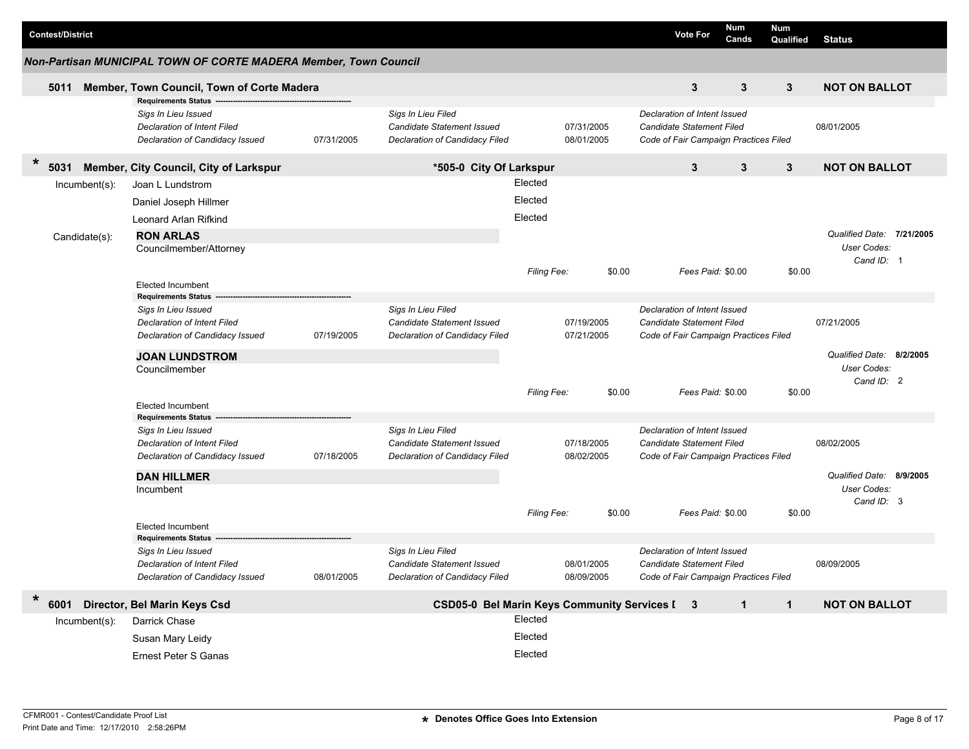|                         |                                                                                                                     |            |                                                                                    |                    |                          |        |                                                                                                           | Num               |                         |                           |  |
|-------------------------|---------------------------------------------------------------------------------------------------------------------|------------|------------------------------------------------------------------------------------|--------------------|--------------------------|--------|-----------------------------------------------------------------------------------------------------------|-------------------|-------------------------|---------------------------|--|
| <b>Contest/District</b> |                                                                                                                     |            |                                                                                    |                    |                          |        | <b>Vote For</b>                                                                                           | Cands             | <b>Num</b><br>Qualified | <b>Status</b>             |  |
|                         | Non-Partisan MUNICIPAL TOWN OF CORTE MADERA Member, Town Council                                                    |            |                                                                                    |                    |                          |        |                                                                                                           |                   |                         |                           |  |
| 5011                    | Member, Town Council, Town of Corte Madera                                                                          |            |                                                                                    |                    |                          |        | 3                                                                                                         | 3                 | 3                       | <b>NOT ON BALLOT</b>      |  |
|                         | <b>Requirements Status</b><br>Sigs In Lieu Issued<br>Declaration of Intent Filed<br>Declaration of Candidacy Issued | 07/31/2005 | Sigs In Lieu Filed<br>Candidate Statement Issued<br>Declaration of Candidacy Filed |                    | 07/31/2005<br>08/01/2005 |        | Declaration of Intent Issued<br><b>Candidate Statement Filed</b><br>Code of Fair Campaign Practices Filed |                   |                         | 08/01/2005                |  |
| $\ast$<br>5031          | Member, City Council, City of Larkspur                                                                              |            | *505-0 City Of Larkspur                                                            |                    |                          |        | 3                                                                                                         | 3                 | 3                       | <b>NOT ON BALLOT</b>      |  |
| Incumbent(s):           | Joan L Lundstrom                                                                                                    |            |                                                                                    | Elected            |                          |        |                                                                                                           |                   |                         |                           |  |
|                         | Daniel Joseph Hillmer                                                                                               |            |                                                                                    | Elected            |                          |        |                                                                                                           |                   |                         |                           |  |
|                         |                                                                                                                     |            |                                                                                    | Elected            |                          |        |                                                                                                           |                   |                         |                           |  |
|                         | Leonard Arlan Rifkind                                                                                               |            |                                                                                    |                    |                          |        |                                                                                                           |                   |                         | Qualified Date: 7/21/2005 |  |
| Candidate(s):           | <b>RON ARLAS</b><br>Councilmember/Attorney                                                                          |            |                                                                                    |                    |                          |        |                                                                                                           |                   |                         | User Codes:               |  |
|                         |                                                                                                                     |            |                                                                                    |                    |                          |        |                                                                                                           |                   |                         | Cand ID: 1                |  |
|                         |                                                                                                                     |            |                                                                                    | <b>Filing Fee:</b> |                          | \$0.00 |                                                                                                           | Fees Paid: \$0.00 | \$0.00                  |                           |  |
|                         | <b>Elected Incumbent</b>                                                                                            |            |                                                                                    |                    |                          |        |                                                                                                           |                   |                         |                           |  |
|                         | <b>Requirements Status</b><br>Sigs In Lieu Issued                                                                   |            | Sigs In Lieu Filed                                                                 |                    |                          |        | Declaration of Intent Issued                                                                              |                   |                         |                           |  |
|                         | Declaration of Intent Filed                                                                                         |            | <b>Candidate Statement Issued</b>                                                  |                    | 07/19/2005               |        | <b>Candidate Statement Filed</b>                                                                          |                   |                         | 07/21/2005                |  |
|                         | Declaration of Candidacy Issued                                                                                     | 07/19/2005 | Declaration of Candidacy Filed                                                     |                    | 07/21/2005               |        | Code of Fair Campaign Practices Filed                                                                     |                   |                         |                           |  |
|                         | <b>JOAN LUNDSTROM</b>                                                                                               |            |                                                                                    |                    |                          |        |                                                                                                           |                   |                         | Qualified Date: 8/2/2005  |  |
|                         | Councilmember                                                                                                       |            |                                                                                    |                    |                          |        |                                                                                                           |                   |                         | User Codes:               |  |
|                         |                                                                                                                     |            |                                                                                    |                    |                          |        |                                                                                                           |                   |                         | Cand ID: 2                |  |
|                         |                                                                                                                     |            |                                                                                    | Filing Fee:        |                          | \$0.00 |                                                                                                           | Fees Paid: \$0.00 | \$0.00                  |                           |  |
|                         | <b>Elected Incumbent</b>                                                                                            |            |                                                                                    |                    |                          |        |                                                                                                           |                   |                         |                           |  |
|                         | <b>Requirements Status</b><br>Sigs In Lieu Issued                                                                   |            | Sigs In Lieu Filed                                                                 |                    |                          |        | Declaration of Intent Issued                                                                              |                   |                         |                           |  |
|                         | Declaration of Intent Filed                                                                                         |            | Candidate Statement Issued                                                         |                    | 07/18/2005               |        | <b>Candidate Statement Filed</b>                                                                          |                   |                         | 08/02/2005                |  |
|                         | Declaration of Candidacy Issued                                                                                     | 07/18/2005 | Declaration of Candidacy Filed                                                     |                    | 08/02/2005               |        | Code of Fair Campaign Practices Filed                                                                     |                   |                         |                           |  |
|                         |                                                                                                                     |            |                                                                                    |                    |                          |        |                                                                                                           |                   |                         | Qualified Date: 8/9/2005  |  |
|                         | <b>DAN HILLMER</b><br>Incumbent                                                                                     |            |                                                                                    |                    |                          |        |                                                                                                           |                   |                         | User Codes:               |  |
|                         |                                                                                                                     |            |                                                                                    |                    |                          |        |                                                                                                           |                   |                         | Cand ID: 3                |  |
|                         |                                                                                                                     |            |                                                                                    | Filing Fee:        |                          | \$0.00 |                                                                                                           | Fees Paid: \$0.00 | \$0.00                  |                           |  |
|                         | <b>Elected Incumbent</b>                                                                                            |            |                                                                                    |                    |                          |        |                                                                                                           |                   |                         |                           |  |
|                         | <b>Requirements Status</b><br>Sigs In Lieu Issued                                                                   |            | Sigs In Lieu Filed                                                                 |                    |                          |        | Declaration of Intent Issued                                                                              |                   |                         |                           |  |
|                         | Declaration of Intent Filed                                                                                         |            | Candidate Statement Issued                                                         |                    | 08/01/2005               |        | Candidate Statement Filed                                                                                 |                   |                         | 08/09/2005                |  |
|                         | Declaration of Candidacy Issued                                                                                     | 08/01/2005 | Declaration of Candidacy Filed                                                     |                    | 08/09/2005               |        | Code of Fair Campaign Practices Filed                                                                     |                   |                         |                           |  |
| $\ast$<br>6001          | Director, Bel Marin Keys Csd                                                                                        |            | CSD05-0 Bel Marin Keys Community Services I 3                                      |                    |                          |        |                                                                                                           | $\mathbf{1}$      | $\mathbf{1}$            | <b>NOT ON BALLOT</b>      |  |
| Incumbent(s):           | Darrick Chase                                                                                                       |            |                                                                                    | Elected            |                          |        |                                                                                                           |                   |                         |                           |  |
|                         |                                                                                                                     |            |                                                                                    | Elected            |                          |        |                                                                                                           |                   |                         |                           |  |
|                         | Susan Mary Leidy                                                                                                    |            |                                                                                    |                    |                          |        |                                                                                                           |                   |                         |                           |  |
|                         | <b>Ernest Peter S Ganas</b>                                                                                         |            |                                                                                    | Elected            |                          |        |                                                                                                           |                   |                         |                           |  |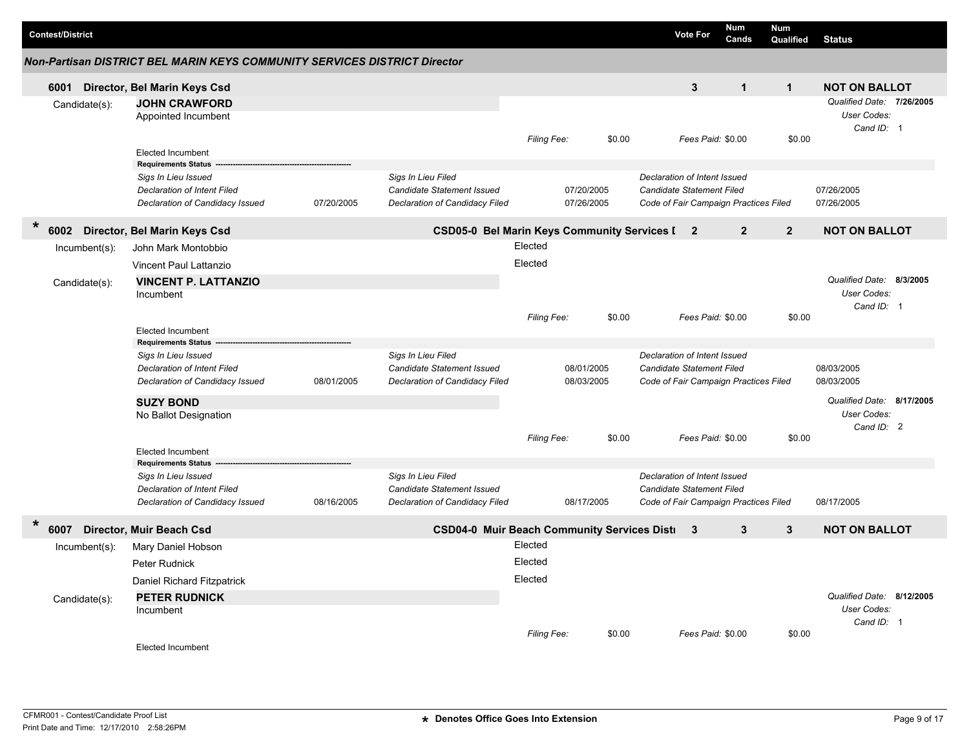| <b>Contest/District</b> |                                                                           |            |                                               |             |            |        | <b>Vote For</b>                       | <b>Num</b><br>Cands | <b>Num</b><br>Qualified | <b>Status</b>             |
|-------------------------|---------------------------------------------------------------------------|------------|-----------------------------------------------|-------------|------------|--------|---------------------------------------|---------------------|-------------------------|---------------------------|
|                         | Non-Partisan DISTRICT BEL MARIN KEYS COMMUNITY SERVICES DISTRICT Director |            |                                               |             |            |        |                                       |                     |                         |                           |
| 6001                    | Director, Bel Marin Keys Csd                                              |            |                                               |             |            |        | $\mathbf{3}$                          | $\mathbf{1}$        | $\mathbf{1}$            | <b>NOT ON BALLOT</b>      |
| Candidate(s):           | <b>JOHN CRAWFORD</b>                                                      |            |                                               |             |            |        |                                       |                     |                         | Qualified Date: 7/26/2005 |
|                         | Appointed Incumbent                                                       |            |                                               |             |            |        |                                       |                     |                         | <b>User Codes:</b>        |
|                         |                                                                           |            |                                               |             |            |        |                                       |                     |                         | Cand ID: 1                |
|                         |                                                                           |            |                                               | Filing Fee: |            | \$0.00 | Fees Paid: \$0.00                     |                     | \$0.00                  |                           |
|                         | <b>Elected Incumbent</b>                                                  |            |                                               |             |            |        |                                       |                     |                         |                           |
|                         | <b>Requirements Status</b><br>Sigs In Lieu Issued                         |            | Sigs In Lieu Filed                            |             |            |        | Declaration of Intent Issued          |                     |                         |                           |
|                         | Declaration of Intent Filed                                               |            | Candidate Statement Issued                    |             | 07/20/2005 |        | <b>Candidate Statement Filed</b>      |                     |                         | 07/26/2005                |
|                         | Declaration of Candidacy Issued                                           | 07/20/2005 | Declaration of Candidacy Filed                |             | 07/26/2005 |        | Code of Fair Campaign Practices Filed |                     |                         | 07/26/2005                |
|                         |                                                                           |            |                                               |             |            |        |                                       |                     |                         |                           |
| $\star$                 | 6002 Director, Bel Marin Keys Csd                                         |            | CSD05-0 Bel Marin Keys Community Services [ 2 |             |            |        |                                       | $\overline{2}$      | $\overline{2}$          | <b>NOT ON BALLOT</b>      |
| Incumbent(s):           | John Mark Montobbio                                                       |            |                                               | Elected     |            |        |                                       |                     |                         |                           |
|                         | Vincent Paul Lattanzio                                                    |            |                                               | Elected     |            |        |                                       |                     |                         |                           |
| Candidate(s):           | <b>VINCENT P. LATTANZIO</b>                                               |            |                                               |             |            |        |                                       |                     |                         | Qualified Date: 8/3/2005  |
|                         | Incumbent                                                                 |            |                                               |             |            |        |                                       |                     |                         | <b>User Codes:</b>        |
|                         |                                                                           |            |                                               |             |            |        |                                       |                     |                         | Cand ID: 1                |
|                         |                                                                           |            |                                               | Filing Fee: |            | \$0.00 | Fees Paid: \$0.00                     |                     | \$0.00                  |                           |
|                         | <b>Elected Incumbent</b><br><b>Requirements Status</b>                    |            |                                               |             |            |        |                                       |                     |                         |                           |
|                         | Sigs In Lieu Issued                                                       |            | Sigs In Lieu Filed                            |             |            |        | Declaration of Intent Issued          |                     |                         |                           |
|                         | <b>Declaration of Intent Filed</b>                                        |            | Candidate Statement Issued                    |             | 08/01/2005 |        | <b>Candidate Statement Filed</b>      |                     |                         | 08/03/2005                |
|                         | Declaration of Candidacy Issued                                           | 08/01/2005 | Declaration of Candidacy Filed                |             | 08/03/2005 |        | Code of Fair Campaign Practices Filed |                     |                         | 08/03/2005                |
|                         | <b>SUZY BOND</b>                                                          |            |                                               |             |            |        |                                       |                     |                         | Qualified Date: 8/17/2005 |
|                         | No Ballot Designation                                                     |            |                                               |             |            |        |                                       |                     |                         | User Codes:               |
|                         |                                                                           |            |                                               |             |            |        |                                       |                     |                         | Cand ID: 2                |
|                         |                                                                           |            |                                               | Filing Fee: |            | \$0.00 | Fees Paid: \$0.00                     |                     | \$0.00                  |                           |
|                         | <b>Elected Incumbent</b><br><b>Requirements Status</b>                    |            |                                               |             |            |        |                                       |                     |                         |                           |
|                         | Sigs In Lieu Issued                                                       |            | Sigs In Lieu Filed                            |             |            |        | Declaration of Intent Issued          |                     |                         |                           |
|                         | Declaration of Intent Filed                                               |            | Candidate Statement Issued                    |             |            |        | Candidate Statement Filed             |                     |                         |                           |
|                         | Declaration of Candidacy Issued                                           | 08/16/2005 | Declaration of Candidacy Filed                |             | 08/17/2005 |        | Code of Fair Campaign Practices Filed |                     |                         | 08/17/2005                |
| *<br>6007               | Director, Muir Beach Csd                                                  |            | CSD04-0 Muir Beach Community Services Disti 3 |             |            |        |                                       | $\mathbf{3}$        | $\mathbf{3}$            | <b>NOT ON BALLOT</b>      |
|                         | Mary Daniel Hobson                                                        |            |                                               | Elected     |            |        |                                       |                     |                         |                           |
| $Incumbent(s)$ :        |                                                                           |            |                                               | Elected     |            |        |                                       |                     |                         |                           |
|                         | Peter Rudnick                                                             |            |                                               |             |            |        |                                       |                     |                         |                           |
|                         | Daniel Richard Fitzpatrick                                                |            |                                               | Elected     |            |        |                                       |                     |                         |                           |
| Candidate(s):           | <b>PETER RUDNICK</b>                                                      |            |                                               |             |            |        |                                       |                     |                         | Qualified Date: 8/12/2005 |
|                         | Incumbent                                                                 |            |                                               |             |            |        |                                       |                     |                         | User Codes:               |
|                         |                                                                           |            |                                               | Filing Fee: |            | \$0.00 | Fees Paid: \$0.00                     |                     | \$0.00                  | Cand ID: 1                |
|                         | <b>Elected Incumbent</b>                                                  |            |                                               |             |            |        |                                       |                     |                         |                           |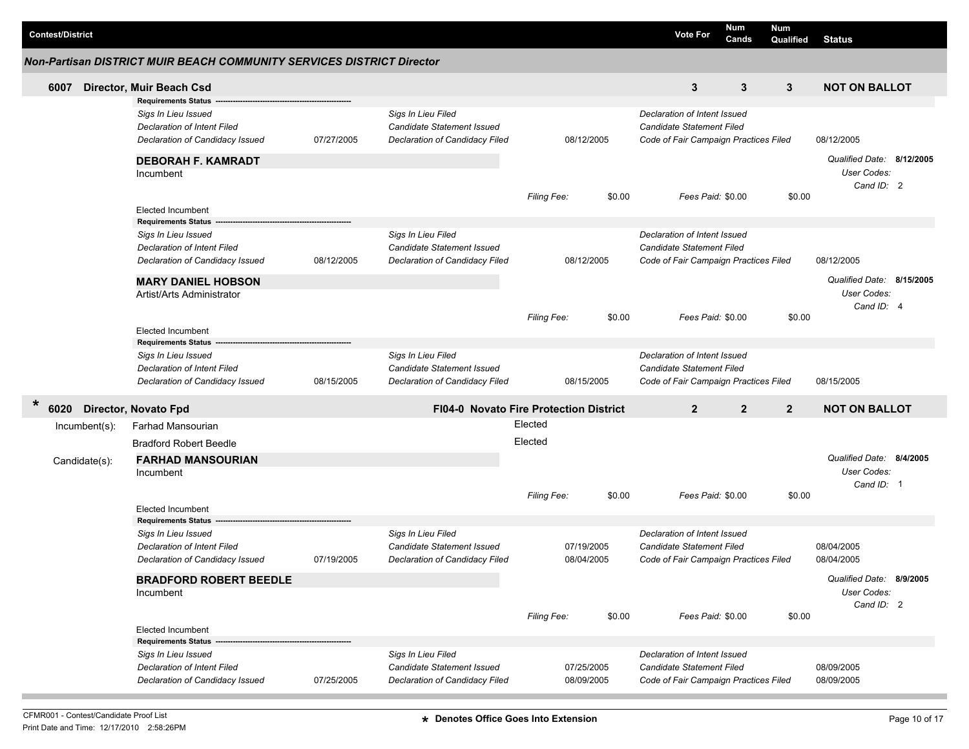|                         |               |                                                                       |            |                                               |                    |            |        |                                       | Num               | Num            |                           |  |
|-------------------------|---------------|-----------------------------------------------------------------------|------------|-----------------------------------------------|--------------------|------------|--------|---------------------------------------|-------------------|----------------|---------------------------|--|
| <b>Contest/District</b> |               |                                                                       |            |                                               |                    |            |        | <b>Vote For</b>                       | Cands             | Qualified      | <b>Status</b>             |  |
|                         |               | Non-Partisan DISTRICT MUIR BEACH COMMUNITY SERVICES DISTRICT Director |            |                                               |                    |            |        |                                       |                   |                |                           |  |
| 6007                    |               | Director, Muir Beach Csd                                              |            |                                               |                    |            |        | 3                                     | 3                 | 3              | <b>NOT ON BALLOT</b>      |  |
|                         |               | <b>Requirements Status</b>                                            |            |                                               |                    |            |        |                                       |                   |                |                           |  |
|                         |               | Sigs In Lieu Issued                                                   |            | Sigs In Lieu Filed                            |                    |            |        | Declaration of Intent Issued          |                   |                |                           |  |
|                         |               | Declaration of Intent Filed                                           |            | Candidate Statement Issued                    |                    |            |        | Candidate Statement Filed             |                   |                |                           |  |
|                         |               | Declaration of Candidacy Issued                                       | 07/27/2005 | Declaration of Candidacy Filed                |                    | 08/12/2005 |        | Code of Fair Campaign Practices Filed |                   |                | 08/12/2005                |  |
|                         |               | <b>DEBORAH F. KAMRADT</b>                                             |            |                                               |                    |            |        |                                       |                   |                | Qualified Date: 8/12/2005 |  |
|                         |               | Incumbent                                                             |            |                                               |                    |            |        |                                       |                   |                | User Codes:               |  |
|                         |               |                                                                       |            |                                               | <b>Filing Fee:</b> |            | \$0.00 |                                       | Fees Paid: \$0.00 | \$0.00         | Cand ID: 2                |  |
|                         |               | <b>Elected Incumbent</b>                                              |            |                                               |                    |            |        |                                       |                   |                |                           |  |
|                         |               | <b>Requirements Status</b>                                            |            |                                               |                    |            |        |                                       |                   |                |                           |  |
|                         |               | Sigs In Lieu Issued                                                   |            | Sigs In Lieu Filed                            |                    |            |        | Declaration of Intent Issued          |                   |                |                           |  |
|                         |               | Declaration of Intent Filed                                           |            | Candidate Statement Issued                    |                    |            |        | <b>Candidate Statement Filed</b>      |                   |                |                           |  |
|                         |               | Declaration of Candidacy Issued                                       | 08/12/2005 | Declaration of Candidacy Filed                |                    | 08/12/2005 |        | Code of Fair Campaign Practices Filed |                   |                | 08/12/2005                |  |
|                         |               | <b>MARY DANIEL HOBSON</b>                                             |            |                                               |                    |            |        |                                       |                   |                | Qualified Date: 8/15/2005 |  |
|                         |               | Artist/Arts Administrator                                             |            |                                               |                    |            |        |                                       |                   |                | User Codes:               |  |
|                         |               |                                                                       |            |                                               | Filing Fee:        |            | \$0.00 |                                       | Fees Paid: \$0.00 | \$0.00         | Cand ID: 4                |  |
|                         |               | <b>Elected Incumbent</b>                                              |            |                                               |                    |            |        |                                       |                   |                |                           |  |
|                         |               | <b>Requirements Status</b>                                            |            |                                               |                    |            |        |                                       |                   |                |                           |  |
|                         |               | Sigs In Lieu Issued                                                   |            | Sigs In Lieu Filed                            |                    |            |        | Declaration of Intent Issued          |                   |                |                           |  |
|                         |               | Declaration of Intent Filed                                           |            | <b>Candidate Statement Issued</b>             |                    |            |        | <b>Candidate Statement Filed</b>      |                   |                |                           |  |
|                         |               | Declaration of Candidacy Issued                                       | 08/15/2005 | Declaration of Candidacy Filed                |                    | 08/15/2005 |        | Code of Fair Campaign Practices Filed |                   |                | 08/15/2005                |  |
| $\ast$                  |               | 6020 Director, Novato Fpd                                             |            | <b>FI04-0 Novato Fire Protection District</b> |                    |            |        | $\overline{2}$                        | $\overline{2}$    | $\overline{2}$ | <b>NOT ON BALLOT</b>      |  |
|                         | Incumbent(s): | Farhad Mansourian                                                     |            |                                               | Elected            |            |        |                                       |                   |                |                           |  |
|                         |               | <b>Bradford Robert Beedle</b>                                         |            |                                               | Elected            |            |        |                                       |                   |                |                           |  |
|                         | Candidate(s): | <b>FARHAD MANSOURIAN</b>                                              |            |                                               |                    |            |        |                                       |                   |                | Qualified Date: 8/4/2005  |  |
|                         |               | Incumbent                                                             |            |                                               |                    |            |        |                                       |                   |                | User Codes:               |  |
|                         |               |                                                                       |            |                                               |                    |            |        |                                       |                   |                | Cand ID: 1                |  |
|                         |               |                                                                       |            |                                               | Filing Fee:        |            | \$0.00 |                                       | Fees Paid: \$0.00 | \$0.00         |                           |  |
|                         |               | <b>Elected Incumbent</b>                                              |            |                                               |                    |            |        |                                       |                   |                |                           |  |
|                         |               | <b>Requirements Status</b>                                            |            |                                               |                    |            |        |                                       |                   |                |                           |  |
|                         |               | Sigs In Lieu Issued                                                   |            | Sigs In Lieu Filed                            |                    |            |        | Declaration of Intent Issued          |                   |                |                           |  |
|                         |               | Declaration of Intent Filed                                           |            | <b>Candidate Statement Issued</b>             |                    | 07/19/2005 |        | <b>Candidate Statement Filed</b>      |                   |                | 08/04/2005                |  |
|                         |               | Declaration of Candidacy Issued                                       | 07/19/2005 | <b>Declaration of Candidacy Filed</b>         |                    | 08/04/2005 |        | Code of Fair Campaign Practices Filed |                   |                | 08/04/2005                |  |
|                         |               | <b>BRADFORD ROBERT BEEDLE</b>                                         |            |                                               |                    |            |        |                                       |                   |                | Qualified Date: 8/9/2005  |  |
|                         |               | Incumbent                                                             |            |                                               |                    |            |        |                                       |                   |                | User Codes:               |  |
|                         |               |                                                                       |            |                                               |                    |            |        |                                       |                   |                | Cand ID: 2                |  |
|                         |               | <b>Elected Incumbent</b>                                              |            |                                               | Filing Fee:        |            | \$0.00 |                                       | Fees Paid: \$0.00 | \$0.00         |                           |  |
|                         |               | <b>Requirements Status</b>                                            |            |                                               |                    |            |        |                                       |                   |                |                           |  |
|                         |               | Sigs In Lieu Issued                                                   |            | Sigs In Lieu Filed                            |                    |            |        | Declaration of Intent Issued          |                   |                |                           |  |
|                         |               | Declaration of Intent Filed                                           |            | Candidate Statement Issued                    |                    | 07/25/2005 |        | Candidate Statement Filed             |                   |                | 08/09/2005                |  |
|                         |               | Declaration of Candidacy Issued                                       | 07/25/2005 | Declaration of Candidacy Filed                |                    | 08/09/2005 |        | Code of Fair Campaign Practices Filed |                   |                | 08/09/2005                |  |
|                         |               |                                                                       |            |                                               |                    |            |        |                                       |                   |                |                           |  |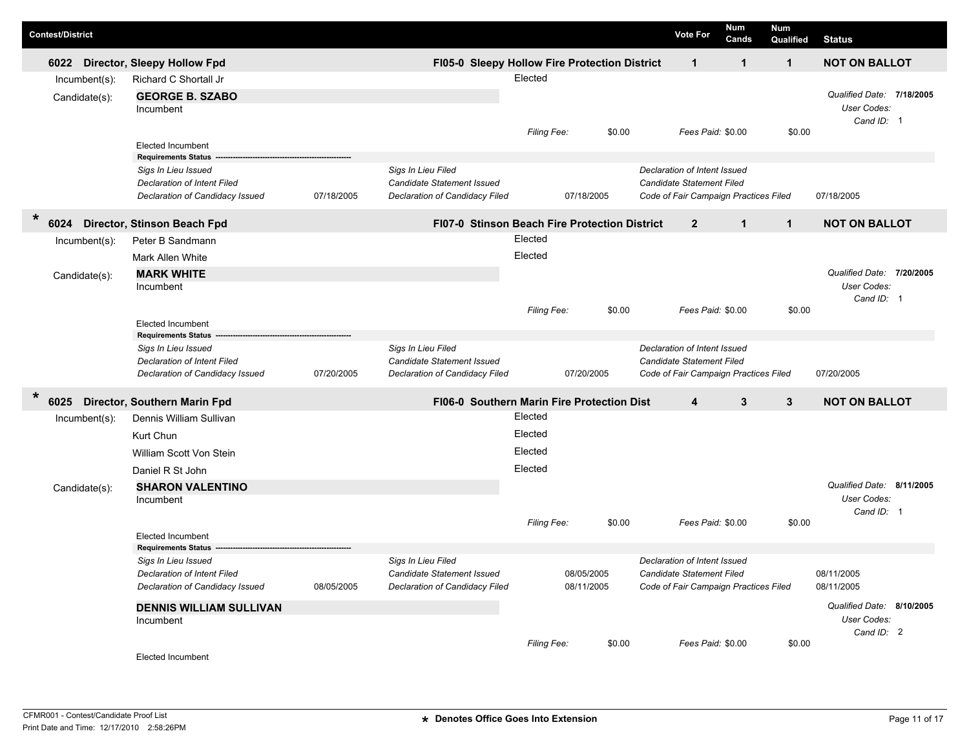| <b>Contest/District</b> |                  |                                                        |            |                                                   |             |            |        | <b>Vote For</b>                       | <b>Num</b><br>Cands | <b>Num</b><br>Qualified | <b>Status</b>             |  |
|-------------------------|------------------|--------------------------------------------------------|------------|---------------------------------------------------|-------------|------------|--------|---------------------------------------|---------------------|-------------------------|---------------------------|--|
| 6022                    |                  | Director, Sleepy Hollow Fpd                            |            | FI05-0 Sleepy Hollow Fire Protection District     |             |            |        | $\mathbf{1}$                          | $\mathbf{1}$        | $\mathbf{1}$            | <b>NOT ON BALLOT</b>      |  |
|                         | $Incumbent(s)$ : | Richard C Shortall Jr                                  |            |                                                   | Elected     |            |        |                                       |                     |                         |                           |  |
|                         | Candidate(s):    | <b>GEORGE B. SZABO</b>                                 |            |                                                   |             |            |        |                                       |                     |                         | Qualified Date: 7/18/2005 |  |
|                         |                  | Incumbent                                              |            |                                                   |             |            |        |                                       |                     |                         | User Codes:<br>Cand ID: 1 |  |
|                         |                  |                                                        |            |                                                   | Filing Fee: |            | \$0.00 | Fees Paid: \$0.00                     |                     | \$0.00                  |                           |  |
|                         |                  | <b>Elected Incumbent</b><br><b>Requirements Status</b> |            |                                                   |             |            |        |                                       |                     |                         |                           |  |
|                         |                  | Sigs In Lieu Issued                                    |            | Sigs In Lieu Filed                                |             |            |        | Declaration of Intent Issued          |                     |                         |                           |  |
|                         |                  | Declaration of Intent Filed                            |            | <b>Candidate Statement Issued</b>                 |             |            |        | Candidate Statement Filed             |                     |                         |                           |  |
|                         |                  | Declaration of Candidacy Issued                        | 07/18/2005 | Declaration of Candidacy Filed                    |             | 07/18/2005 |        | Code of Fair Campaign Practices Filed |                     |                         | 07/18/2005                |  |
| $\ast$<br>6024          |                  | Director, Stinson Beach Fpd                            |            | FI07-0 Stinson Beach Fire Protection District     |             |            |        | $\overline{2}$                        | $\mathbf{1}$        | $\mathbf{1}$            | <b>NOT ON BALLOT</b>      |  |
|                         | Incumbent(s):    | Peter B Sandmann                                       |            |                                                   | Elected     |            |        |                                       |                     |                         |                           |  |
|                         |                  | Mark Allen White                                       |            |                                                   | Elected     |            |        |                                       |                     |                         |                           |  |
|                         | Candidate(s):    | <b>MARK WHITE</b>                                      |            |                                                   |             |            |        |                                       |                     |                         | Qualified Date: 7/20/2005 |  |
|                         |                  | Incumbent                                              |            |                                                   |             |            |        |                                       |                     |                         | User Codes:<br>Cand ID: 1 |  |
|                         |                  |                                                        |            |                                                   | Filing Fee: |            | \$0.00 | Fees Paid: \$0.00                     |                     | \$0.00                  |                           |  |
|                         |                  | <b>Elected Incumbent</b>                               |            |                                                   |             |            |        |                                       |                     |                         |                           |  |
|                         |                  | <b>Requirements Status</b><br>Sigs In Lieu Issued      |            | Sigs In Lieu Filed                                |             |            |        | Declaration of Intent Issued          |                     |                         |                           |  |
|                         |                  | Declaration of Intent Filed                            |            | Candidate Statement Issued                        |             |            |        | <b>Candidate Statement Filed</b>      |                     |                         |                           |  |
|                         |                  | Declaration of Candidacy Issued                        | 07/20/2005 | Declaration of Candidacy Filed                    |             | 07/20/2005 |        | Code of Fair Campaign Practices Filed |                     |                         | 07/20/2005                |  |
| $\ast$<br>6025          |                  | Director, Southern Marin Fpd                           |            | <b>FI06-0 Southern Marin Fire Protection Dist</b> |             |            |        | 4                                     | 3                   | 3                       | <b>NOT ON BALLOT</b>      |  |
|                         | $Incumbent(s)$ : | Dennis William Sullivan                                |            |                                                   | Elected     |            |        |                                       |                     |                         |                           |  |
|                         |                  | Kurt Chun                                              |            |                                                   | Elected     |            |        |                                       |                     |                         |                           |  |
|                         |                  | William Scott Von Stein                                |            |                                                   | Elected     |            |        |                                       |                     |                         |                           |  |
|                         |                  | Daniel R St John                                       |            |                                                   | Elected     |            |        |                                       |                     |                         |                           |  |
|                         | Candidate(s):    | <b>SHARON VALENTINO</b>                                |            |                                                   |             |            |        |                                       |                     |                         | Qualified Date: 8/11/2005 |  |
|                         |                  | Incumbent                                              |            |                                                   |             |            |        |                                       |                     |                         | User Codes:<br>Cand ID: 1 |  |
|                         |                  |                                                        |            |                                                   | Filing Fee: |            | \$0.00 | Fees Paid: \$0.00                     |                     | \$0.00                  |                           |  |
|                         |                  | <b>Elected Incumbent</b>                               |            |                                                   |             |            |        |                                       |                     |                         |                           |  |
|                         |                  | <b>Requirements Status</b><br>Sigs In Lieu Issued      |            | Sigs In Lieu Filed                                |             |            |        | Declaration of Intent Issued          |                     |                         |                           |  |
|                         |                  | Declaration of Intent Filed                            |            | Candidate Statement Issued                        |             | 08/05/2005 |        | Candidate Statement Filed             |                     |                         | 08/11/2005                |  |
|                         |                  | Declaration of Candidacy Issued                        | 08/05/2005 | Declaration of Candidacy Filed                    |             | 08/11/2005 |        | Code of Fair Campaign Practices Filed |                     |                         | 08/11/2005                |  |
|                         |                  | <b>DENNIS WILLIAM SULLIVAN</b>                         |            |                                                   |             |            |        |                                       |                     |                         | Qualified Date: 8/10/2005 |  |
|                         |                  | Incumbent                                              |            |                                                   |             |            |        |                                       |                     |                         | User Codes:<br>Cand ID: 2 |  |
|                         |                  |                                                        |            |                                                   | Filing Fee: |            | \$0.00 | Fees Paid: \$0.00                     |                     | \$0.00                  |                           |  |
|                         |                  | <b>Elected Incumbent</b>                               |            |                                                   |             |            |        |                                       |                     |                         |                           |  |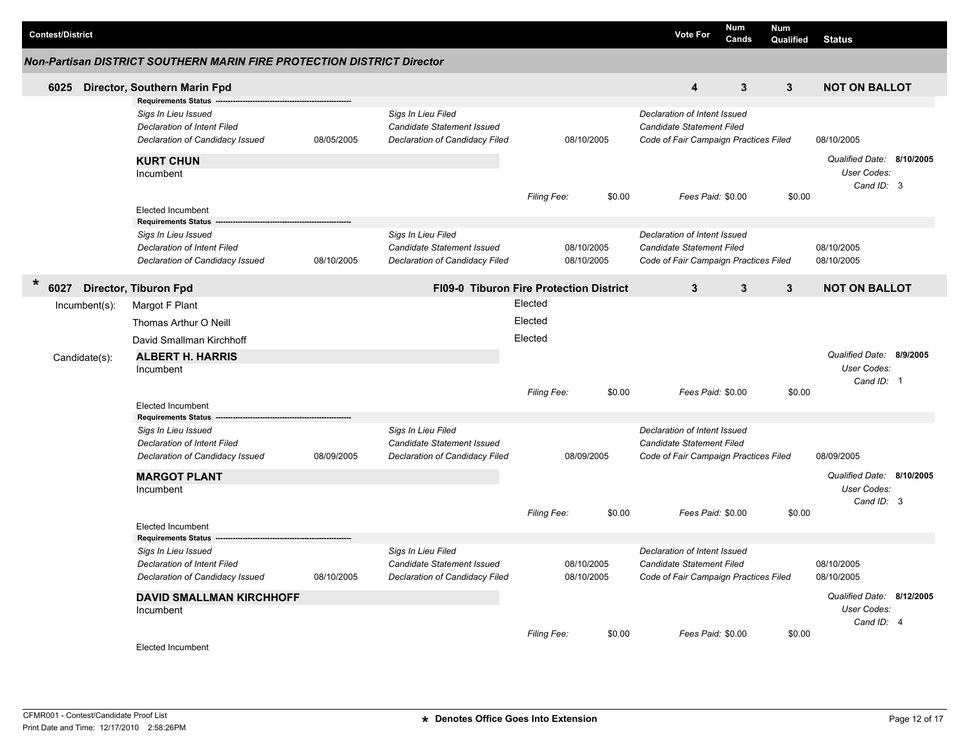|                         |                  |                                                                        |            |                                         |             |            |        |                                       | <b>Num</b>   | Num          |                           |  |
|-------------------------|------------------|------------------------------------------------------------------------|------------|-----------------------------------------|-------------|------------|--------|---------------------------------------|--------------|--------------|---------------------------|--|
| <b>Contest/District</b> |                  |                                                                        |            |                                         |             |            |        | <b>Vote For</b>                       | Cands        | Qualified    | <b>Status</b>             |  |
|                         |                  | Non-Partisan DISTRICT SOUTHERN MARIN FIRE PROTECTION DISTRICT Director |            |                                         |             |            |        |                                       |              |              |                           |  |
| 6025                    |                  | Director, Southern Marin Fpd                                           |            |                                         |             |            |        | $\overline{\mathbf{4}}$               | 3            | $\mathbf{3}$ | <b>NOT ON BALLOT</b>      |  |
|                         |                  | <b>Requirements Status</b>                                             |            |                                         |             |            |        |                                       |              |              |                           |  |
|                         |                  | Sigs In Lieu Issued                                                    |            | Sigs In Lieu Filed                      |             |            |        | Declaration of Intent Issued          |              |              |                           |  |
|                         |                  | <b>Declaration of Intent Filed</b>                                     |            | Candidate Statement Issued              |             |            |        | <b>Candidate Statement Filed</b>      |              |              |                           |  |
|                         |                  | Declaration of Candidacy Issued                                        | 08/05/2005 | Declaration of Candidacy Filed          |             | 08/10/2005 |        | Code of Fair Campaign Practices Filed |              |              | 08/10/2005                |  |
|                         |                  | <b>KURT CHUN</b>                                                       |            |                                         |             |            |        |                                       |              |              | Qualified Date: 8/10/2005 |  |
|                         |                  | Incumbent                                                              |            |                                         |             |            |        |                                       |              |              | User Codes:               |  |
|                         |                  |                                                                        |            |                                         |             |            |        |                                       |              |              | Cand ID: 3                |  |
|                         |                  | <b>Elected Incumbent</b>                                               |            |                                         | Filing Fee: |            | \$0.00 | Fees Paid: \$0.00                     |              | \$0.00       |                           |  |
|                         |                  | <b>Requirements Status</b>                                             |            |                                         |             |            |        |                                       |              |              |                           |  |
|                         |                  | Sigs In Lieu Issued                                                    |            | Sigs In Lieu Filed                      |             |            |        | Declaration of Intent Issued          |              |              |                           |  |
|                         |                  | <b>Declaration of Intent Filed</b>                                     |            | <b>Candidate Statement Issued</b>       |             | 08/10/2005 |        | Candidate Statement Filed             |              |              | 08/10/2005                |  |
|                         |                  | Declaration of Candidacy Issued                                        | 08/10/2005 | Declaration of Candidacy Filed          |             | 08/10/2005 |        | Code of Fair Campaign Practices Filed |              |              | 08/10/2005                |  |
| $\ast$                  |                  |                                                                        |            |                                         |             |            |        |                                       |              |              |                           |  |
| 6027                    |                  | Director, Tiburon Fpd                                                  |            | FI09-0 Tiburon Fire Protection District |             |            |        | 3                                     | $\mathbf{3}$ | $\mathbf{3}$ | <b>NOT ON BALLOT</b>      |  |
|                         | $Incumbent(s)$ : | Margot F Plant                                                         |            |                                         | Elected     |            |        |                                       |              |              |                           |  |
|                         |                  | Thomas Arthur O Neill                                                  |            |                                         | Elected     |            |        |                                       |              |              |                           |  |
|                         |                  | David Smallman Kirchhoff                                               |            |                                         | Elected     |            |        |                                       |              |              |                           |  |
|                         | Candidate(s):    | <b>ALBERT H. HARRIS</b>                                                |            |                                         |             |            |        |                                       |              |              | Qualified Date: 8/9/2005  |  |
|                         |                  | Incumbent                                                              |            |                                         |             |            |        |                                       |              |              | User Codes:               |  |
|                         |                  |                                                                        |            |                                         |             |            |        |                                       |              |              | Cand ID: 1                |  |
|                         |                  | <b>Elected Incumbent</b>                                               |            |                                         | Filing Fee: |            | \$0.00 | Fees Paid: \$0.00                     |              | \$0.00       |                           |  |
|                         |                  | <b>Requirements Status</b>                                             |            |                                         |             |            |        |                                       |              |              |                           |  |
|                         |                  | Sigs In Lieu Issued                                                    |            | Sigs In Lieu Filed                      |             |            |        | Declaration of Intent Issued          |              |              |                           |  |
|                         |                  | <b>Declaration of Intent Filed</b>                                     |            | <b>Candidate Statement Issued</b>       |             |            |        | Candidate Statement Filed             |              |              |                           |  |
|                         |                  | Declaration of Candidacy Issued                                        | 08/09/2005 | Declaration of Candidacy Filed          |             | 08/09/2005 |        | Code of Fair Campaign Practices Filed |              |              | 08/09/2005                |  |
|                         |                  | <b>MARGOT PLANT</b>                                                    |            |                                         |             |            |        |                                       |              |              | Qualified Date: 8/10/2005 |  |
|                         |                  | Incumbent                                                              |            |                                         |             |            |        |                                       |              |              | User Codes:               |  |
|                         |                  |                                                                        |            |                                         |             |            |        |                                       |              |              | Cand ID: 3                |  |
|                         |                  |                                                                        |            |                                         | Filing Fee: |            | \$0.00 | Fees Paid: \$0.00                     |              | \$0.00       |                           |  |
|                         |                  | <b>Elected Incumbent</b><br><b>Requirements Status</b>                 |            |                                         |             |            |        |                                       |              |              |                           |  |
|                         |                  | Sigs In Lieu Issued                                                    |            | Sigs In Lieu Filed                      |             |            |        | Declaration of Intent Issued          |              |              |                           |  |
|                         |                  | <b>Declaration of Intent Filed</b>                                     |            | Candidate Statement Issued              |             | 08/10/2005 |        | <b>Candidate Statement Filed</b>      |              |              | 08/10/2005                |  |
|                         |                  | Declaration of Candidacy Issued                                        | 08/10/2005 | Declaration of Candidacy Filed          |             | 08/10/2005 |        | Code of Fair Campaign Practices Filed |              |              | 08/10/2005                |  |
|                         |                  | <b>DAVID SMALLMAN KIRCHHOFF</b>                                        |            |                                         |             |            |        |                                       |              |              | Qualified Date: 8/12/2005 |  |
|                         |                  | Incumbent                                                              |            |                                         |             |            |        |                                       |              |              | User Codes:               |  |
|                         |                  |                                                                        |            |                                         |             |            |        |                                       |              |              | Cand ID: 4                |  |
|                         |                  |                                                                        |            |                                         | Filing Fee: |            | \$0.00 | Fees Paid: \$0.00                     |              | \$0.00       |                           |  |
|                         |                  | <b>Elected Incumbent</b>                                               |            |                                         |             |            |        |                                       |              |              |                           |  |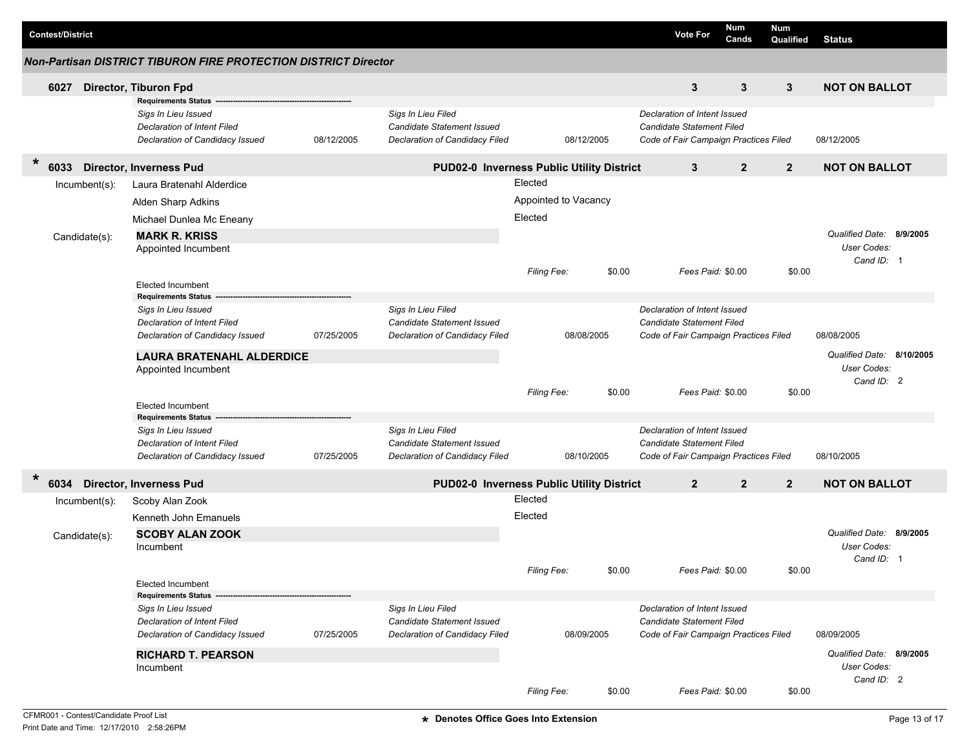|        | <b>Contest/District</b> |                  |                                                                                                                     |            |                                                                                           |                    |                      |        | <b>Vote For</b>                                                                                           | Num<br>Cands | Num<br>Qualified          | <b>Status</b>             |  |
|--------|-------------------------|------------------|---------------------------------------------------------------------------------------------------------------------|------------|-------------------------------------------------------------------------------------------|--------------------|----------------------|--------|-----------------------------------------------------------------------------------------------------------|--------------|---------------------------|---------------------------|--|
|        |                         |                  | <b>Non-Partisan DISTRICT TIBURON FIRE PROTECTION DISTRICT Director</b>                                              |            |                                                                                           |                    |                      |        |                                                                                                           |              |                           |                           |  |
|        | 6027                    |                  | Director, Tiburon Fpd                                                                                               |            |                                                                                           |                    |                      |        | 3                                                                                                         | 3            | 3                         | <b>NOT ON BALLOT</b>      |  |
|        |                         |                  | <b>Requirements Status</b><br>Sigs In Lieu Issued<br>Declaration of Intent Filed<br>Declaration of Candidacy Issued | 08/12/2005 | Sigs In Lieu Filed<br><b>Candidate Statement Issued</b><br>Declaration of Candidacy Filed |                    | 08/12/2005           |        | Declaration of Intent Issued<br><b>Candidate Statement Filed</b><br>Code of Fair Campaign Practices Filed |              |                           | 08/12/2005                |  |
| $\ast$ | 33<br>60                |                  | <b>Director, Inverness Pud</b>                                                                                      |            | PUD02-0 Inverness Public Utility District                                                 |                    |                      |        | 3                                                                                                         | $\mathbf{2}$ | $\overline{2}$            | <b>NOT ON BALLOT</b>      |  |
|        |                         | $Incumbent(s)$ : | Laura Bratenahl Alderdice                                                                                           |            |                                                                                           | Elected            |                      |        |                                                                                                           |              |                           |                           |  |
|        |                         |                  | Alden Sharp Adkins                                                                                                  |            |                                                                                           |                    | Appointed to Vacancy |        |                                                                                                           |              |                           |                           |  |
|        |                         |                  | Michael Dunlea Mc Eneany                                                                                            |            |                                                                                           | Elected            |                      |        |                                                                                                           |              |                           |                           |  |
|        |                         | Candidate(s):    | <b>MARK R. KRISS</b>                                                                                                |            |                                                                                           |                    |                      |        |                                                                                                           |              |                           | Qualified Date: 8/9/2005  |  |
|        |                         |                  | Appointed Incumbent                                                                                                 |            |                                                                                           |                    |                      |        |                                                                                                           |              |                           | User Codes:               |  |
|        |                         |                  |                                                                                                                     |            |                                                                                           |                    |                      |        |                                                                                                           |              |                           | Cand ID: 1                |  |
|        |                         |                  | <b>Elected Incumbent</b>                                                                                            |            |                                                                                           | Filing Fee:        |                      | \$0.00 | Fees Paid: \$0.00                                                                                         |              | \$0.00                    |                           |  |
|        |                         |                  | <b>Requirements Status</b>                                                                                          |            |                                                                                           |                    |                      |        |                                                                                                           |              |                           |                           |  |
|        |                         |                  | Sigs In Lieu Issued                                                                                                 |            | Sigs In Lieu Filed                                                                        |                    |                      |        | Declaration of Intent Issued                                                                              |              |                           |                           |  |
|        |                         |                  | Declaration of Intent Filed                                                                                         |            | <b>Candidate Statement Issued</b>                                                         |                    |                      |        | <b>Candidate Statement Filed</b>                                                                          |              |                           |                           |  |
|        |                         |                  | Declaration of Candidacy Issued                                                                                     | 07/25/2005 | Declaration of Candidacy Filed                                                            |                    | 08/08/2005           |        | Code of Fair Campaign Practices Filed                                                                     |              |                           | 08/08/2005                |  |
|        |                         |                  | <b>LAURA BRATENAHL ALDERDICE</b>                                                                                    |            |                                                                                           |                    |                      |        |                                                                                                           |              | Qualified Date: 8/10/2005 |                           |  |
|        |                         |                  | Appointed Incumbent                                                                                                 |            |                                                                                           |                    |                      |        |                                                                                                           |              |                           | User Codes:<br>Cand ID: 2 |  |
|        |                         |                  |                                                                                                                     |            |                                                                                           | <b>Filing Fee:</b> |                      | \$0.00 | Fees Paid: \$0.00                                                                                         |              | \$0.00                    |                           |  |
|        |                         |                  | <b>Elected Incumbent</b>                                                                                            |            |                                                                                           |                    |                      |        |                                                                                                           |              |                           |                           |  |
|        |                         |                  | <b>Requirements Status</b>                                                                                          |            | Sigs In Lieu Filed                                                                        |                    |                      |        | Declaration of Intent Issued                                                                              |              |                           |                           |  |
|        |                         |                  | Sigs In Lieu Issued<br>Declaration of Intent Filed                                                                  |            | <b>Candidate Statement Issued</b>                                                         |                    |                      |        | <b>Candidate Statement Filed</b>                                                                          |              |                           |                           |  |
|        |                         |                  | Declaration of Candidacy Issued                                                                                     | 07/25/2005 | Declaration of Candidacy Filed                                                            |                    | 08/10/2005           |        | Code of Fair Campaign Practices Filed                                                                     |              |                           | 08/10/2005                |  |
| $\ast$ |                         |                  |                                                                                                                     |            |                                                                                           |                    |                      |        |                                                                                                           |              |                           |                           |  |
|        | 6034                    |                  | <b>Director, Inverness Pud</b>                                                                                      |            | PUD02-0 Inverness Public Utility District                                                 |                    |                      |        | $\overline{2}$                                                                                            | $\mathbf{2}$ | $\overline{2}$            | <b>NOT ON BALLOT</b>      |  |
|        |                         | $Incumbent(s)$ : | Scoby Alan Zook                                                                                                     |            |                                                                                           | Elected            |                      |        |                                                                                                           |              |                           |                           |  |
|        |                         |                  | Kenneth John Emanuels                                                                                               |            |                                                                                           | Elected            |                      |        |                                                                                                           |              |                           |                           |  |
|        |                         | Candidate(s):    | <b>SCOBY ALAN ZOOK</b>                                                                                              |            |                                                                                           |                    |                      |        |                                                                                                           |              |                           | Qualified Date: 8/9/2005  |  |
|        |                         |                  | Incumbent                                                                                                           |            |                                                                                           |                    |                      |        |                                                                                                           |              |                           | User Codes:               |  |
|        |                         |                  |                                                                                                                     |            |                                                                                           | <b>Filing Fee:</b> |                      | \$0.00 | Fees Paid: \$0.00                                                                                         |              | \$0.00                    | Cand ID: 1                |  |
|        |                         |                  | <b>Elected Incumbent</b>                                                                                            |            |                                                                                           |                    |                      |        |                                                                                                           |              |                           |                           |  |
|        |                         |                  | <b>Requirements Status -</b>                                                                                        |            |                                                                                           |                    |                      |        |                                                                                                           |              |                           |                           |  |
|        |                         |                  | Sigs In Lieu Issued                                                                                                 |            | Sigs In Lieu Filed                                                                        |                    |                      |        | Declaration of Intent Issued                                                                              |              |                           |                           |  |
|        |                         |                  | Declaration of Intent Filed                                                                                         |            | Candidate Statement Issued<br>Declaration of Candidacy Filed                              |                    |                      |        | Candidate Statement Filed                                                                                 |              |                           |                           |  |
|        |                         |                  | Declaration of Candidacy Issued                                                                                     | 07/25/2005 |                                                                                           |                    | 08/09/2005           |        | Code of Fair Campaign Practices Filed                                                                     |              |                           | 08/09/2005                |  |
|        |                         |                  | <b>RICHARD T. PEARSON</b>                                                                                           |            |                                                                                           |                    |                      |        |                                                                                                           |              |                           | Qualified Date: 8/9/2005  |  |
|        |                         |                  | Incumbent                                                                                                           |            |                                                                                           |                    |                      |        |                                                                                                           |              |                           | User Codes:<br>Cand ID: 2 |  |
|        |                         |                  |                                                                                                                     |            |                                                                                           | Filing Fee:        |                      | \$0.00 | Fees Paid: \$0.00                                                                                         |              | \$0.00                    |                           |  |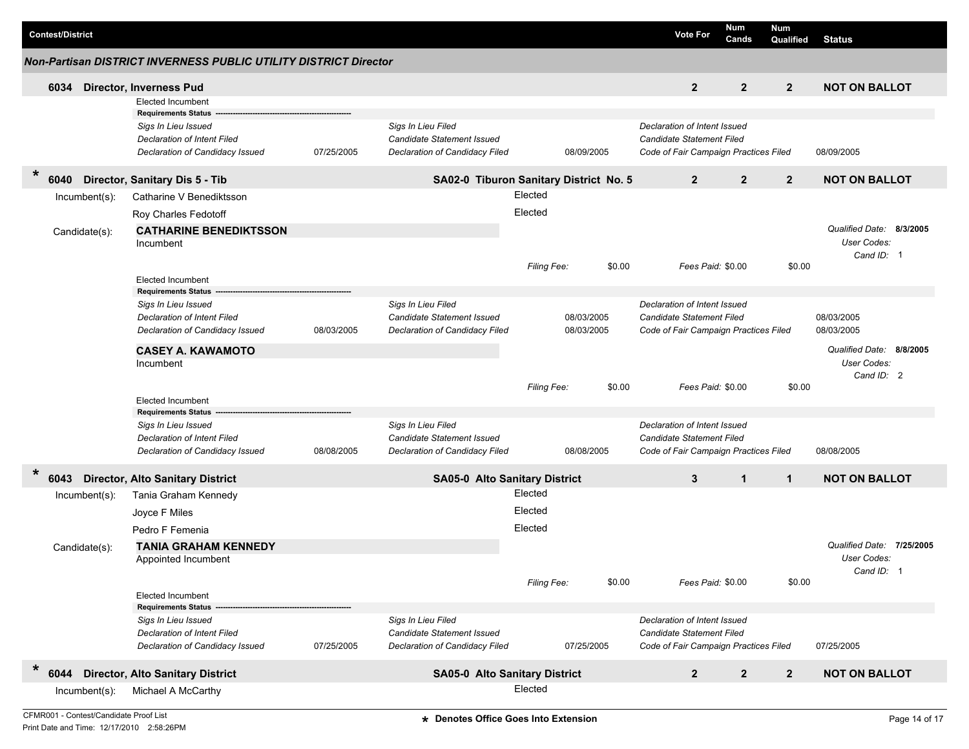| <b>Contest/District</b> |                                                                                                                            |            |                                                                                    |                    |                          |        | <b>Vote For</b>                                                                                           | <b>Num</b><br>Cands | <b>Num</b><br>Qualified | <b>Status</b>                                         |           |
|-------------------------|----------------------------------------------------------------------------------------------------------------------------|------------|------------------------------------------------------------------------------------|--------------------|--------------------------|--------|-----------------------------------------------------------------------------------------------------------|---------------------|-------------------------|-------------------------------------------------------|-----------|
|                         | <b>Non-Partisan DISTRICT INVERNESS PUBLIC UTILITY DISTRICT Director</b>                                                    |            |                                                                                    |                    |                          |        |                                                                                                           |                     |                         |                                                       |           |
| 6034                    | <b>Director, Inverness Pud</b>                                                                                             |            |                                                                                    |                    |                          |        | $\overline{2}$                                                                                            | $\overline{2}$      | $2^{\circ}$             | <b>NOT ON BALLOT</b>                                  |           |
|                         | <b>Elected Incumbent</b>                                                                                                   |            |                                                                                    |                    |                          |        |                                                                                                           |                     |                         |                                                       |           |
|                         | <b>Requirements Status</b><br>Sigs In Lieu Issued<br><b>Declaration of Intent Filed</b><br>Declaration of Candidacy Issued | 07/25/2005 | Sigs In Lieu Filed<br>Candidate Statement Issued<br>Declaration of Candidacy Filed |                    | 08/09/2005               |        | Declaration of Intent Issued<br><b>Candidate Statement Filed</b><br>Code of Fair Campaign Practices Filed |                     |                         | 08/09/2005                                            |           |
| $\ast$<br>6040          | Director, Sanitary Dis 5 - Tib                                                                                             |            | SA02-0 Tiburon Sanitary District No. 5                                             |                    |                          |        | $\overline{2}$                                                                                            | $\overline{2}$      | $\overline{2}$          | <b>NOT ON BALLOT</b>                                  |           |
| $Incumbent(s)$ :        | Catharine V Benediktsson                                                                                                   |            |                                                                                    | Elected            |                          |        |                                                                                                           |                     |                         |                                                       |           |
|                         | Roy Charles Fedotoff                                                                                                       |            |                                                                                    | Elected            |                          |        |                                                                                                           |                     |                         |                                                       |           |
| Candidate(s):           | <b>CATHARINE BENEDIKTSSON</b><br>Incumbent                                                                                 |            |                                                                                    |                    |                          |        |                                                                                                           |                     |                         | Qualified Date: 8/3/2005<br>User Codes:<br>Cand ID: 1 |           |
|                         |                                                                                                                            |            |                                                                                    | <b>Filing Fee:</b> |                          | \$0.00 | Fees Paid: \$0.00                                                                                         |                     | \$0.00                  |                                                       |           |
|                         | <b>Elected Incumbent</b><br><b>Requirements Status</b>                                                                     |            |                                                                                    |                    |                          |        |                                                                                                           |                     |                         |                                                       |           |
|                         | Sigs In Lieu Issued<br><b>Declaration of Intent Filed</b><br>Declaration of Candidacy Issued                               | 08/03/2005 | Sigs In Lieu Filed<br>Candidate Statement Issued<br>Declaration of Candidacy Filed |                    | 08/03/2005<br>08/03/2005 |        | Declaration of Intent Issued<br>Candidate Statement Filed<br>Code of Fair Campaign Practices Filed        |                     |                         | 08/03/2005<br>08/03/2005                              |           |
|                         | <b>CASEY A. KAWAMOTO</b>                                                                                                   |            |                                                                                    |                    |                          |        |                                                                                                           |                     |                         | Qualified Date: 8/8/2005                              |           |
|                         | Incumbent                                                                                                                  |            |                                                                                    | <b>Filing Fee:</b> |                          | \$0.00 | Fees Paid: \$0.00                                                                                         |                     | \$0.00                  | User Codes:<br>Cand ID: 2                             |           |
|                         | <b>Elected Incumbent</b>                                                                                                   |            |                                                                                    |                    |                          |        |                                                                                                           |                     |                         |                                                       |           |
|                         | <b>Requirements Status</b>                                                                                                 |            |                                                                                    |                    |                          |        |                                                                                                           |                     |                         |                                                       |           |
|                         | Sigs In Lieu Issued<br><b>Declaration of Intent Filed</b>                                                                  |            | Sigs In Lieu Filed<br>Candidate Statement Issued                                   |                    |                          |        | Declaration of Intent Issued<br>Candidate Statement Filed                                                 |                     |                         |                                                       |           |
|                         | Declaration of Candidacy Issued                                                                                            | 08/08/2005 | Declaration of Candidacy Filed                                                     |                    | 08/08/2005               |        | Code of Fair Campaign Practices Filed                                                                     |                     |                         | 08/08/2005                                            |           |
| $\ast$<br>6043          | <b>Director, Alto Sanitary District</b>                                                                                    |            | <b>SA05-0 Alto Sanitary District</b>                                               |                    |                          |        | 3                                                                                                         | $\mathbf{1}$        | $\mathbf{1}$            | <b>NOT ON BALLOT</b>                                  |           |
| $Incumbent(s)$ :        | Tania Graham Kennedy                                                                                                       |            |                                                                                    | Elected            |                          |        |                                                                                                           |                     |                         |                                                       |           |
|                         | Joyce F Miles                                                                                                              |            |                                                                                    | Elected            |                          |        |                                                                                                           |                     |                         |                                                       |           |
|                         | Pedro F Femenia                                                                                                            |            |                                                                                    | Elected            |                          |        |                                                                                                           |                     |                         |                                                       |           |
|                         |                                                                                                                            |            |                                                                                    |                    |                          |        |                                                                                                           |                     |                         | Qualified Date:                                       | 7/25/2005 |
| Candidate(s):           | <b>TANIA GRAHAM KENNEDY</b><br>Appointed Incumbent                                                                         |            |                                                                                    |                    |                          |        |                                                                                                           |                     |                         | User Codes:                                           |           |
|                         |                                                                                                                            |            |                                                                                    |                    |                          |        |                                                                                                           |                     |                         | Cand ID: 1                                            |           |
|                         | <b>Elected Incumbent</b>                                                                                                   |            |                                                                                    | Filing Fee:        |                          | \$0.00 | Fees Paid: \$0.00                                                                                         |                     | \$0.00                  |                                                       |           |
|                         | <b>Requirements Status</b>                                                                                                 |            |                                                                                    |                    |                          |        |                                                                                                           |                     |                         |                                                       |           |
|                         | Sigs In Lieu Issued                                                                                                        |            | Sigs In Lieu Filed                                                                 |                    |                          |        | Declaration of Intent Issued                                                                              |                     |                         |                                                       |           |
|                         | <b>Declaration of Intent Filed</b>                                                                                         |            | Candidate Statement Issued                                                         |                    |                          |        | Candidate Statement Filed                                                                                 |                     |                         |                                                       |           |
|                         | Declaration of Candidacy Issued                                                                                            | 07/25/2005 | Declaration of Candidacy Filed                                                     |                    | 07/25/2005               |        | Code of Fair Campaign Practices Filed                                                                     |                     |                         | 07/25/2005                                            |           |
| $\ast$<br>6044          | <b>Director, Alto Sanitary District</b>                                                                                    |            | <b>SA05-0 Alto Sanitary District</b>                                               |                    |                          |        | $\overline{2}$                                                                                            | $\overline{2}$      | $\overline{2}$          | <b>NOT ON BALLOT</b>                                  |           |
| $Incumbent(s)$ :        | Michael A McCarthy                                                                                                         |            |                                                                                    | Elected            |                          |        |                                                                                                           |                     |                         |                                                       |           |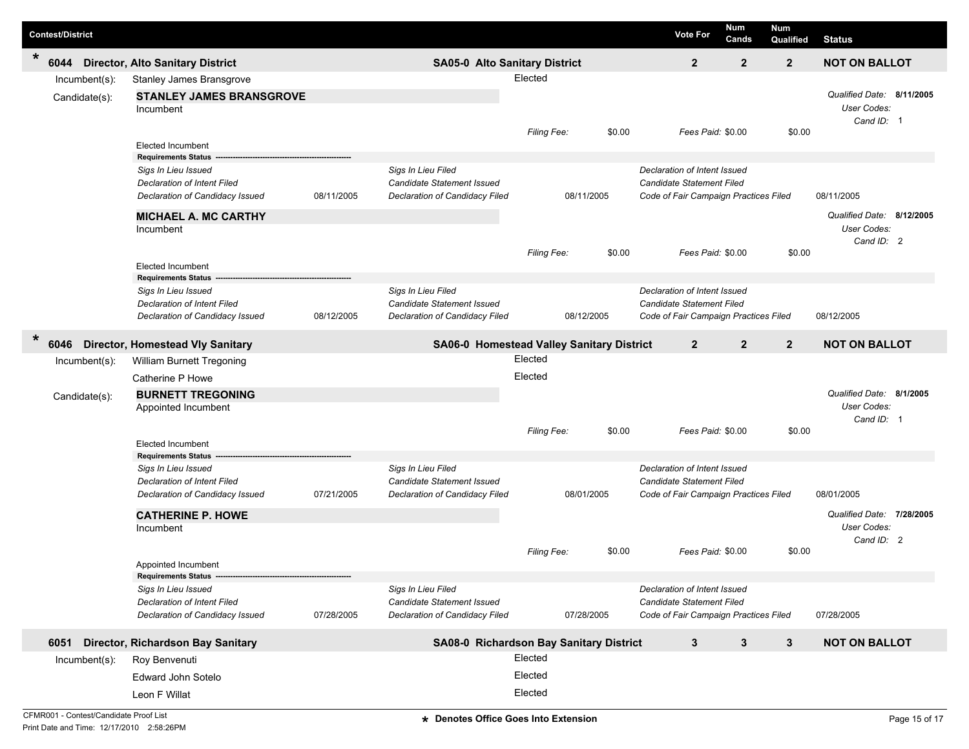|                | <b>Contest/District</b>        |                                                                                       |            |                                                                                    |                                           |        | <b>Vote For</b>                                                  | Num<br>Cands                                                                                                                                                                                                                                                                                                                                                                                                                                                                                                                                                                                                                                                                                      | <b>Num</b><br>Qualified | <b>Status</b> |  |
|----------------|--------------------------------|---------------------------------------------------------------------------------------|------------|------------------------------------------------------------------------------------|-------------------------------------------|--------|------------------------------------------------------------------|---------------------------------------------------------------------------------------------------------------------------------------------------------------------------------------------------------------------------------------------------------------------------------------------------------------------------------------------------------------------------------------------------------------------------------------------------------------------------------------------------------------------------------------------------------------------------------------------------------------------------------------------------------------------------------------------------|-------------------------|---------------|--|
| $\ast$         | 6044                           | <b>Director, Alto Sanitary District</b>                                               |            | <b>SA05-0 Alto Sanitary District</b>                                               |                                           |        | $\overline{2}$                                                   | $\overline{2}$                                                                                                                                                                                                                                                                                                                                                                                                                                                                                                                                                                                                                                                                                    | $\overline{2}$          |               |  |
|                | Incumbent(s):<br>Candidate(s): | Stanley James Bransgrove<br><b>STANLEY JAMES BRANSGROVE</b><br>Incumbent              |            |                                                                                    | Elected<br>Filing Fee:                    | \$0.00 |                                                                  |                                                                                                                                                                                                                                                                                                                                                                                                                                                                                                                                                                                                                                                                                                   | \$0.00                  | User Codes:   |  |
|                |                                | <b>Elected Incumbent</b><br><b>Requirements Status</b>                                |            |                                                                                    |                                           |        |                                                                  | <b>NOT ON BALLOT</b><br>Qualified Date: 8/11/2005<br>Cand ID: 1<br>Fees Paid: \$0.00<br>08/11/2005<br>Code of Fair Campaign Practices Filed<br>Qualified Date: 8/12/2005<br>User Codes:<br>Cand ID: 2<br>Fees Paid: \$0.00<br>\$0.00<br>08/12/2005<br>Code of Fair Campaign Practices Filed<br>$\overline{2}$<br>$\mathbf{2}$<br><b>NOT ON BALLOT</b><br>Qualified Date: 8/1/2005<br>User Codes:<br>Cand ID: 1<br>Fees Paid: \$0.00<br>\$0.00<br>08/01/2005<br>Code of Fair Campaign Practices Filed<br>Qualified Date: 7/28/2005<br>User Codes:<br>Cand ID: 2<br>Fees Paid: \$0.00<br>\$0.00<br>Code of Fair Campaign Practices Filed<br>07/28/2005<br>$\mathbf{3}$<br>3<br><b>NOT ON BALLOT</b> |                         |               |  |
|                |                                | Sigs In Lieu Issued<br>Declaration of Intent Filed<br>Declaration of Candidacy Issued | 08/11/2005 | Sigs In Lieu Filed<br>Candidate Statement Issued<br>Declaration of Candidacy Filed | 08/11/2005                                |        | Declaration of Intent Issued<br><b>Candidate Statement Filed</b> |                                                                                                                                                                                                                                                                                                                                                                                                                                                                                                                                                                                                                                                                                                   |                         |               |  |
|                |                                | <b>MICHAEL A. MC CARTHY</b><br>Incumbent                                              |            |                                                                                    | Filing Fee:                               | \$0.00 |                                                                  |                                                                                                                                                                                                                                                                                                                                                                                                                                                                                                                                                                                                                                                                                                   |                         |               |  |
|                |                                | <b>Elected Incumbent</b><br><b>Requirements Status</b>                                |            |                                                                                    |                                           |        |                                                                  |                                                                                                                                                                                                                                                                                                                                                                                                                                                                                                                                                                                                                                                                                                   |                         |               |  |
|                |                                | Sigs In Lieu Issued<br>Declaration of Intent Filed<br>Declaration of Candidacy Issued | 08/12/2005 | Sigs In Lieu Filed<br>Candidate Statement Issued<br>Declaration of Candidacy Filed | 08/12/2005                                |        | Declaration of Intent Issued<br><b>Candidate Statement Filed</b> |                                                                                                                                                                                                                                                                                                                                                                                                                                                                                                                                                                                                                                                                                                   |                         |               |  |
| $\ast$<br>6046 |                                | <b>Director, Homestead Vly Sanitary</b>                                               |            |                                                                                    | SA06-0 Homestead Valley Sanitary District |        | $\overline{2}$                                                   |                                                                                                                                                                                                                                                                                                                                                                                                                                                                                                                                                                                                                                                                                                   |                         |               |  |
|                | Incumbent(s):                  | William Burnett Tregoning                                                             |            |                                                                                    | Elected                                   |        |                                                                  |                                                                                                                                                                                                                                                                                                                                                                                                                                                                                                                                                                                                                                                                                                   |                         |               |  |
|                |                                | Catherine P Howe                                                                      |            |                                                                                    | Elected                                   |        |                                                                  |                                                                                                                                                                                                                                                                                                                                                                                                                                                                                                                                                                                                                                                                                                   |                         |               |  |
|                | Candidate(s):                  | <b>BURNETT TREGONING</b><br>Appointed Incumbent                                       |            |                                                                                    |                                           |        |                                                                  |                                                                                                                                                                                                                                                                                                                                                                                                                                                                                                                                                                                                                                                                                                   |                         |               |  |
|                |                                | <b>Elected Incumbent</b><br><b>Requirements Status</b>                                |            |                                                                                    | Filing Fee:                               | \$0.00 |                                                                  |                                                                                                                                                                                                                                                                                                                                                                                                                                                                                                                                                                                                                                                                                                   |                         |               |  |
|                |                                | Sigs In Lieu Issued<br>Declaration of Intent Filed<br>Declaration of Candidacy Issued | 07/21/2005 | Sigs In Lieu Filed<br>Candidate Statement Issued<br>Declaration of Candidacy Filed | 08/01/2005                                |        | Declaration of Intent Issued<br><b>Candidate Statement Filed</b> |                                                                                                                                                                                                                                                                                                                                                                                                                                                                                                                                                                                                                                                                                                   |                         |               |  |
|                |                                | <b>CATHERINE P. HOWE</b><br>Incumbent                                                 |            |                                                                                    |                                           |        |                                                                  |                                                                                                                                                                                                                                                                                                                                                                                                                                                                                                                                                                                                                                                                                                   |                         |               |  |
|                |                                | Appointed Incumbent<br>Requirements Status ---------------                            |            |                                                                                    | <b>Filing Fee:</b>                        | \$0.00 |                                                                  |                                                                                                                                                                                                                                                                                                                                                                                                                                                                                                                                                                                                                                                                                                   |                         |               |  |
|                |                                | Sigs In Lieu Issued<br>Declaration of Intent Filed<br>Declaration of Candidacy Issued | 07/28/2005 | Sigs In Lieu Filed<br>Candidate Statement Issued<br>Declaration of Candidacy Filed | 07/28/2005                                |        | Declaration of Intent Issued<br>Candidate Statement Filed        |                                                                                                                                                                                                                                                                                                                                                                                                                                                                                                                                                                                                                                                                                                   |                         |               |  |
|                | 6051                           | Director, Richardson Bay Sanitary                                                     |            |                                                                                    | SA08-0 Richardson Bay Sanitary District   |        | $\mathbf{3}$                                                     |                                                                                                                                                                                                                                                                                                                                                                                                                                                                                                                                                                                                                                                                                                   |                         |               |  |
|                | $Incumbent(s)$ :               | Roy Benvenuti                                                                         |            |                                                                                    | Elected                                   |        |                                                                  |                                                                                                                                                                                                                                                                                                                                                                                                                                                                                                                                                                                                                                                                                                   |                         |               |  |
|                |                                | Edward John Sotelo                                                                    |            |                                                                                    | Elected                                   |        |                                                                  |                                                                                                                                                                                                                                                                                                                                                                                                                                                                                                                                                                                                                                                                                                   |                         |               |  |
|                |                                | Leon F Willat                                                                         |            |                                                                                    | Elected                                   |        |                                                                  |                                                                                                                                                                                                                                                                                                                                                                                                                                                                                                                                                                                                                                                                                                   |                         |               |  |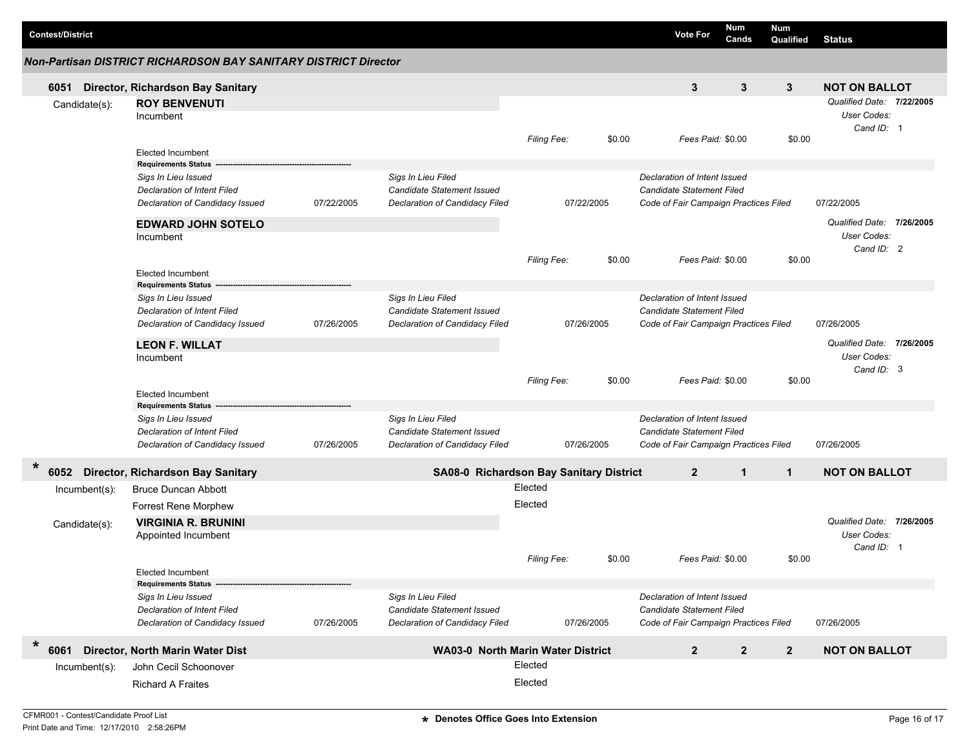| <b>Contest/District</b> |                                                                                                                            |            |                                                                                           |                    |            | <b>Vote For</b>                                                                                           | Num<br>Cands      | Num<br>Qualified | <b>Status</b>                                          |  |
|-------------------------|----------------------------------------------------------------------------------------------------------------------------|------------|-------------------------------------------------------------------------------------------|--------------------|------------|-----------------------------------------------------------------------------------------------------------|-------------------|------------------|--------------------------------------------------------|--|
|                         | Non-Partisan DISTRICT RICHARDSON BAY SANITARY DISTRICT Director                                                            |            |                                                                                           |                    |            |                                                                                                           |                   |                  |                                                        |  |
| 6051                    | Director, Richardson Bay Sanitary                                                                                          |            |                                                                                           |                    |            | 3                                                                                                         | 3                 | 3                | <b>NOT ON BALLOT</b>                                   |  |
| Candidate(s):           | <b>ROY BENVENUTI</b><br>Incumbent                                                                                          |            |                                                                                           |                    |            |                                                                                                           |                   |                  | Qualified Date: 7/22/2005<br>User Codes:<br>Cand ID: 1 |  |
|                         | <b>Elected Incumbent</b><br><b>Requirements Status</b>                                                                     |            |                                                                                           | Filing Fee:        | \$0.00     |                                                                                                           | Fees Paid: \$0.00 | \$0.00           |                                                        |  |
|                         | Sigs In Lieu Issued<br><b>Declaration of Intent Filed</b><br>Declaration of Candidacy Issued                               | 07/22/2005 | Sigs In Lieu Filed<br><b>Candidate Statement Issued</b><br>Declaration of Candidacy Filed |                    | 07/22/2005 | Declaration of Intent Issued<br>Candidate Statement Filed<br>Code of Fair Campaign Practices Filed        |                   |                  | 07/22/2005                                             |  |
|                         | <b>EDWARD JOHN SOTELO</b><br>Incumbent                                                                                     |            |                                                                                           | Filing Fee:        | \$0.00     |                                                                                                           | Fees Paid: \$0.00 | \$0.00           | Qualified Date: 7/26/2005<br>User Codes:<br>Cand ID: 2 |  |
|                         | <b>Elected Incumbent</b>                                                                                                   |            |                                                                                           |                    |            |                                                                                                           |                   |                  |                                                        |  |
|                         | <b>Requirements Status</b><br>Sigs In Lieu Issued<br><b>Declaration of Intent Filed</b><br>Declaration of Candidacy Issued | 07/26/2005 | Sigs In Lieu Filed<br><b>Candidate Statement Issued</b><br>Declaration of Candidacy Filed |                    | 07/26/2005 | Declaration of Intent Issued<br><b>Candidate Statement Filed</b><br>Code of Fair Campaign Practices Filed |                   |                  | 07/26/2005                                             |  |
|                         | <b>LEON F. WILLAT</b><br>Incumbent                                                                                         |            |                                                                                           |                    |            |                                                                                                           |                   |                  | Qualified Date: 7/26/2005<br>User Codes:<br>Cand ID: 3 |  |
|                         | <b>Elected Incumbent</b><br><b>Requirements Status</b>                                                                     |            |                                                                                           | Filing Fee:        | \$0.00     |                                                                                                           | Fees Paid: \$0.00 | \$0.00           |                                                        |  |
|                         | Sigs In Lieu Issued<br>Declaration of Intent Filed<br>Declaration of Candidacy Issued                                      | 07/26/2005 | Sigs In Lieu Filed<br><b>Candidate Statement Issued</b><br>Declaration of Candidacy Filed |                    | 07/26/2005 | Declaration of Intent Issued<br><b>Candidate Statement Filed</b><br>Code of Fair Campaign Practices Filed |                   |                  | 07/26/2005                                             |  |
| $\star$<br>6052         | <b>Director, Richardson Bay Sanitary</b>                                                                                   |            | SA08-0 Richardson Bay Sanitary District                                                   |                    |            | $\overline{2}$                                                                                            | $\mathbf{1}$      | $\mathbf{1}$     | <b>NOT ON BALLOT</b>                                   |  |
| $lncumbent(s)$ :        | <b>Bruce Duncan Abbott</b>                                                                                                 |            |                                                                                           | Elected            |            |                                                                                                           |                   |                  |                                                        |  |
| Candidate(s):           | <b>Forrest Rene Morphew</b><br><b>VIRGINIA R. BRUNINI</b>                                                                  |            |                                                                                           | Elected            |            |                                                                                                           |                   |                  | Qualified Date: 7/26/2005                              |  |
|                         | Appointed Incumbent                                                                                                        |            |                                                                                           | <b>Filing Fee:</b> | \$0.00     |                                                                                                           | Fees Paid: \$0.00 | \$0.00           | <b>User Codes:</b><br>Cand ID: 1                       |  |
|                         | Elected Incumbent<br><b>Requirements Status</b>                                                                            |            |                                                                                           |                    |            |                                                                                                           |                   |                  |                                                        |  |
|                         | Sigs In Lieu Issued<br><b>Declaration of Intent Filed</b><br>Declaration of Candidacy Issued                               | 07/26/2005 | Sigs In Lieu Filed<br><b>Candidate Statement Issued</b><br>Declaration of Candidacy Filed |                    | 07/26/2005 | Declaration of Intent Issued<br><b>Candidate Statement Filed</b><br>Code of Fair Campaign Practices Filed |                   |                  | 07/26/2005                                             |  |
| $\ast$<br>6061          | Director, North Marin Water Dist                                                                                           |            | <b>WA03-0 North Marin Water District</b>                                                  |                    |            | $\boldsymbol{2}$                                                                                          | $\boldsymbol{2}$  | $\overline{2}$   | <b>NOT ON BALLOT</b>                                   |  |
| Incumbent(s):           | John Cecil Schoonover                                                                                                      |            |                                                                                           | Elected            |            |                                                                                                           |                   |                  |                                                        |  |
|                         | <b>Richard A Fraites</b>                                                                                                   |            |                                                                                           | Elected            |            |                                                                                                           |                   |                  |                                                        |  |